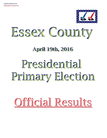

# Essex County

## **April 19th, 2016 April 19th, 2016**

## Presidential Primary Election

## Official Results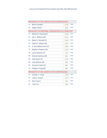| PRESIDENT OF THE UNITED STATES (DEMOCRATIC) |                                                 |      |            |  |  |  |  |  |
|---------------------------------------------|-------------------------------------------------|------|------------|--|--|--|--|--|
| $1A$ :                                      | <b>Bernie Sanders</b>                           | 2145 | <b>DEM</b> |  |  |  |  |  |
| 1B:                                         | <b>Hillary Clinton</b>                          | 838  | <b>DEM</b> |  |  |  |  |  |
|                                             | DELEGATES TO NATIONAL CONVENTION 21st CONG DIST |      |            |  |  |  |  |  |
| 2A:                                         | Martha M. Devaney(F)                            | 1438 | <b>DEM</b> |  |  |  |  |  |
| 3A:                                         | Jay V. Bellanca (M)                             | 1214 | <b>DEM</b> |  |  |  |  |  |
| 4A:                                         | Maria D. Dezotell (F)                           | 1345 | <b>DEM</b> |  |  |  |  |  |
| $5A$ :                                      | Patrick F. Nelson (M)                           | 1291 | <b>DEM</b> |  |  |  |  |  |
| 6A:                                         | S. Sue Abbott-Jones (F)                         | 1460 | <b>DEM</b> |  |  |  |  |  |
| 7A:                                         | Stephen Chagnon (M)                             | 1153 | <b>DEM</b> |  |  |  |  |  |
| 2B:                                         | Lynne Boecher (F)                               | 760  | <b>DEM</b> |  |  |  |  |  |
| 3B:                                         | Jeremy Espinosa (M)                             | 694  | <b>DEM</b> |  |  |  |  |  |
| 4B:                                         | Julie Garcia (F)                                | 1195 | <b>DEM</b> |  |  |  |  |  |
| 5B:                                         | Larry Bulman (M)                                | 583  | <b>DEM</b> |  |  |  |  |  |
| 6B:                                         | Suzanne Cohen (F)                               | 836  | <b>DEM</b> |  |  |  |  |  |
| 7B:                                         | Gregory Young (M)                               | 685  | <b>DEM</b> |  |  |  |  |  |
|                                             | PRESIDENT OF THE UNITED STATES (REPUBLICAN)     |      |            |  |  |  |  |  |
| $1A$ :                                      | Donald J. Trump                                 | 1918 | <b>REP</b> |  |  |  |  |  |
| $2A$ :                                      | John R. Kasich                                  | 1274 | <b>REP</b> |  |  |  |  |  |
| $3A$ :                                      | <b>Ben Carson</b>                               | 68   | <b>REP</b> |  |  |  |  |  |
| 4A:                                         | <b>Ted Cruz</b>                                 | 664  | <b>REP</b> |  |  |  |  |  |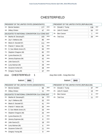## **CHESTERFIELD**

| PRESIDENT OF THE UNITED STATES (DEMOCRATIC) |                                                 |     |            |  |  |  |
|---------------------------------------------|-------------------------------------------------|-----|------------|--|--|--|
| $1A$ :                                      | <b>Bernie Sanders</b>                           | 177 | <b>DEM</b> |  |  |  |
| 1B:                                         | <b>Hillary Clinton</b>                          | 47  | <b>DEM</b> |  |  |  |
|                                             | DELEGATES TO NATIONAL CONVENTION 21st CONG DIST |     |            |  |  |  |
| 2A:                                         | Martha M. Devaney(F)                            | 103 | <b>DEM</b> |  |  |  |
| 3A:                                         | Jay V. Bellanca (M)                             | 85  | <b>DEM</b> |  |  |  |
| 4A:                                         | Maria D. Dezotell (F)                           | 111 | <b>DEM</b> |  |  |  |
| 5A:                                         | Patrick F. Nelson (M)                           | 91  | <b>DEM</b> |  |  |  |
| 6A:                                         | S. Sue Abbott-Jones (F)                         | 94  | <b>DEM</b> |  |  |  |
| 7A:                                         | Stephen Chagnon (M)                             | 82  | <b>DEM</b> |  |  |  |
| 2B:                                         | Lynne Boecher (F)                               | 38  | <b>DEM</b> |  |  |  |
| 3B:                                         | Jeremy Espinosa (M)                             | 42  | <b>DEM</b> |  |  |  |
| 4B:                                         | Julie Garcia (F)                                | 72  | <b>DEM</b> |  |  |  |
| 5B:                                         | Larry Bulman (M)                                | 29  | <b>DEM</b> |  |  |  |
| 6B:                                         | Suzanne Cohen (F)                               | 48  | <b>DEM</b> |  |  |  |
| 7B:                                         | Gregory Young (M)                               | 37  | <b>DEM</b> |  |  |  |

#### PRESIDENT OF THE UNITED STATES (REPUBLICAN)

|     | 1A: Donald J. Trump | 136 | <b>REP</b> |
|-----|---------------------|-----|------------|
|     | 2A: John R. Kasich  | 64  | <b>REP</b> |
|     | 3A: Ben Carson      |     | <b>REP</b> |
| 4A: | Ted Cruz            | 26  | <b>RFP</b> |

#### 2016 CHESTERFIELD 1 Assy Dist 114th - Cong Dist 21st

Ballot#: **3001**

Ballot#: **3043**

| PRESIDENT OF THE UNITED STATES (DEMOCRATIC) |                                                 |    |            |  |  |  |
|---------------------------------------------|-------------------------------------------------|----|------------|--|--|--|
| $1A$ :                                      | <b>Bernie Sanders</b>                           | 66 | DEM        |  |  |  |
| 1B:                                         | <b>Hillary Clinton</b>                          | 11 | <b>DEM</b> |  |  |  |
|                                             | DELEGATES TO NATIONAL CONVENTION 21st CONG DIST |    |            |  |  |  |
| 2A:                                         | Martha M. Devaney(F)                            | 34 | <b>DEM</b> |  |  |  |
| 3A:                                         | Jay V. Bellanca (M)                             | 32 | <b>DEM</b> |  |  |  |
| 4A:                                         | Maria D. Dezotell (F)                           | 41 | <b>DEM</b> |  |  |  |
| 5A:                                         | Patrick F. Nelson (M)                           | 30 | <b>DEM</b> |  |  |  |
| 6A:                                         | S. Sue Abbott-Jones (F)                         | 33 | <b>DEM</b> |  |  |  |
| 7A:                                         | Stephen Chagnon (M)                             | 25 | <b>DEM</b> |  |  |  |
| 2B:                                         | Lynne Boecher (F)                               | 6  | <b>DEM</b> |  |  |  |
| 3B:                                         | Jeremy Espinosa (M)                             | 8  | <b>DEM</b> |  |  |  |
| 4B:                                         | Julie Garcia (F)                                | 18 | <b>DEM</b> |  |  |  |
| 5B:                                         | Larry Bulman (M)                                | 6  | <b>DEM</b> |  |  |  |
| 6B:                                         | Suzanne Cohen (F)                               | 11 | <b>DEM</b> |  |  |  |
| 7B:                                         | Gregory Young (M)                               | 9  | <b>DEM</b> |  |  |  |

#### PRESIDENT OF THE UNITED STATES (REPUBLICAN) 1A: Donald J. Trump 37 2A: John R. Kasich 19 REP REP 3A: Ben Carson 0 REP 4A: Ted Cruz 11 REP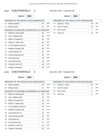#### 2016 CHESTERFIELD 2 Assy Dist 114th - Cong Dist 21st

Ballot#: **3002**

Ballot#: **3044**

|                                                                                                 | PRESIDENT OF THE UNITED STATES (DEMOCRATIC)                       |    |            |     | PRESIDENT OF THE UNITED STATES (REPUBLICAN)          |    |            |
|-------------------------------------------------------------------------------------------------|-------------------------------------------------------------------|----|------------|-----|------------------------------------------------------|----|------------|
| 1A:                                                                                             | <b>Bernie Sanders</b>                                             | 87 | <b>DEM</b> | 1A: | Donald J. Trump                                      | 78 | <b>REP</b> |
| 1B.                                                                                             | <b>Hillary Clinton</b>                                            | 27 | DEM        | 2A: | John R. Kasich                                       | 41 | <b>REP</b> |
|                                                                                                 | DELEGATES TO NATIONAL CONVENTION 21st CONG DIST                   |    |            | 3A: | <b>Ben Carson</b>                                    | 1  | <b>REP</b> |
| 2A.                                                                                             | Martha M. Devaney(F)                                              | 54 | DEM        | 4A: | <b>Ted Cruz</b>                                      | 13 | <b>REP</b> |
| 3A.                                                                                             | Jay V. Bellanca (M)                                               | 41 | <b>DEM</b> |     |                                                      |    |            |
| 4A.                                                                                             | Maria D. Dezotell (F)                                             | 54 | <b>DEM</b> |     |                                                      |    |            |
| 5A.                                                                                             | Patrick F. Nelson (M)                                             | 46 | <b>DEM</b> |     |                                                      |    |            |
| 6A:                                                                                             | S. Sue Abbott-Jones (F)                                           | 47 | <b>DEM</b> |     |                                                      |    |            |
| 7A.                                                                                             | Stephen Chagnon (M)                                               | 43 | <b>DEM</b> |     |                                                      |    |            |
| 2B:                                                                                             | Lynne Boecher (F)                                                 | 21 | <b>DEM</b> |     |                                                      |    |            |
| 3B:                                                                                             | Jeremy Espinosa (M)                                               | 21 | <b>DEM</b> |     |                                                      |    |            |
| 4B:                                                                                             | Julie Garcia (F)                                                  | 39 | <b>DEM</b> |     |                                                      |    |            |
| 5B:                                                                                             | Larry Bulman (M)                                                  | 14 | <b>DEM</b> |     |                                                      |    |            |
| 6B:                                                                                             | Suzanne Cohen (F)                                                 | 24 | <b>DEM</b> |     |                                                      |    |            |
|                                                                                                 |                                                                   |    |            |     |                                                      |    |            |
|                                                                                                 | Gregory Young (M)<br><b>CHESTERFIELD</b><br>4<br>Ballot#:<br>3003 | 18 | <b>DEM</b> |     | Assy Dist 114th - Cong Dist 21st<br>Ballot#:<br>3045 |    |            |
|                                                                                                 | PRESIDENT OF THE UNITED STATES (DEMOCRATIC)                       |    |            |     | PRESIDENT OF THE UNITED STATES (REPUBLICAN)          |    |            |
|                                                                                                 | <b>Bernie Sanders</b>                                             | 24 | <b>DEM</b> | 1A: | Donald J. Trump                                      | 21 | <b>REP</b> |
|                                                                                                 | <b>Hillary Clinton</b>                                            | 9  | <b>DEM</b> | 2A: | John R. Kasich                                       | 4  | <b>REP</b> |
|                                                                                                 | DELEGATES TO NATIONAL CONVENTION 21st CONG DIST                   |    |            | 3A. | <b>Ben Carson</b>                                    | 0  | <b>REP</b> |
|                                                                                                 | Martha M. Devaney(F)                                              | 15 | <b>DEM</b> | 4A. | <b>Ted Cruz</b>                                      | 2  | <b>REP</b> |
|                                                                                                 | Jay V. Bellanca (M)                                               | 12 | DEM        |     |                                                      |    |            |
|                                                                                                 | Maria D. Dezotell (F)                                             | 16 | <b>DEM</b> |     |                                                      |    |            |
|                                                                                                 | Patrick F. Nelson (M)                                             | 15 | <b>DEM</b> |     |                                                      |    |            |
|                                                                                                 | S. Sue Abbott-Jones (F)                                           | 14 | DEM        |     |                                                      |    |            |
|                                                                                                 | Stephen Chagnon (M)                                               | 14 | DEM        |     |                                                      |    |            |
|                                                                                                 | Lynne Boecher (F)                                                 | 11 | <b>DEM</b> |     |                                                      |    |            |
|                                                                                                 | Jeremy Espinosa (M)                                               | 13 | <b>DEM</b> |     |                                                      |    |            |
|                                                                                                 | Julie Garcia (F)                                                  | 15 | <b>DEM</b> |     |                                                      |    |            |
| 7B.<br>2016<br>1A:<br>1B.<br>2A:<br>3A.<br>4A.<br>5A.<br>6A.<br>7A:<br>2B.<br>3B:<br>4B:<br>5B. | Larry Bulman (M)                                                  | 9  | <b>DEM</b> |     |                                                      |    |            |

7B: Gregory Young (M) 10 DEM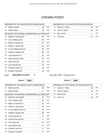## CROWN POINT

|        | PRESIDENT OF THE UNITED STATES (DEMOCRATIC)     |    |            |  |  |  |  |
|--------|-------------------------------------------------|----|------------|--|--|--|--|
| $1A$ : | <b>Bernie Sanders</b>                           | 76 | <b>DEM</b> |  |  |  |  |
| 1B:    | <b>Hillary Clinton</b>                          | 15 | <b>DEM</b> |  |  |  |  |
|        | DELEGATES TO NATIONAL CONVENTION 21st CONG DIST |    |            |  |  |  |  |
| 2A:    | Martha M. Devaney(F)                            | 64 | <b>DEM</b> |  |  |  |  |
| 3A:    | Jay V. Bellanca (M)                             | 60 | <b>DEM</b> |  |  |  |  |
| 4A:    | Maria D. Dezotell (F)                           | 57 | <b>DEM</b> |  |  |  |  |
| 5A:    | Patrick F. Nelson (M)                           | 62 | <b>DEM</b> |  |  |  |  |
| 6A:    | S. Sue Abbott-Jones (F)                         | 59 | <b>DEM</b> |  |  |  |  |
| 7A:    | Stephen Chagnon (M)                             | 56 | <b>DEM</b> |  |  |  |  |
| 2B:    | Lynne Boecher (F)                               | 10 | <b>DEM</b> |  |  |  |  |
| 3B:    | Jeremy Espinosa (M)                             | 12 | <b>DEM</b> |  |  |  |  |
| 4B:    | Julie Garcia (F)                                | 24 | <b>DEM</b> |  |  |  |  |
| 5B:    | Larry Bulman (M)                                | 10 | <b>DEM</b> |  |  |  |  |
| 6B:    | Suzanne Cohen (F)                               | 14 | <b>DEM</b> |  |  |  |  |
| 7B:    | Gregory Young (M)                               | 13 | <b>DEM</b> |  |  |  |  |

#### PRESIDENT OF THE UNITED STATES (REPUBLICAN)

|     | 1A: Donald J. Trump | 92 | <b>REP</b> |
|-----|---------------------|----|------------|
| 2A. | John R. Kasich      | 62 | <b>REP</b> |
| 3A: | Ben Carson          |    | <b>REP</b> |
| 4A: | Ted Cruz            | 57 | <b>REP</b> |

#### 2016 CROWN POINT 1 Assy Dist 114th - Cong Dist 21st

Ballot#: **3004**

| PRESIDENT OF THE UNITED STATES (DEMOCRATIC) |                                                 |    |            |  |  |  |
|---------------------------------------------|-------------------------------------------------|----|------------|--|--|--|
| $1A$ :                                      | <b>Bernie Sanders</b>                           | 28 | <b>DEM</b> |  |  |  |
| 1B:                                         | <b>Hillary Clinton</b>                          | 6  | <b>DEM</b> |  |  |  |
|                                             | DELEGATES TO NATIONAL CONVENTION 21st CONG DIST |    |            |  |  |  |
| 2A:                                         | Martha M. Devaney(F)                            | 21 | <b>DEM</b> |  |  |  |
| 3A:                                         | Jay V. Bellanca (M)                             | 20 | <b>DEM</b> |  |  |  |
| 4A:                                         | Maria D. Dezotell (F)                           | 18 | <b>DEM</b> |  |  |  |
| 5A:                                         | Patrick F. Nelson (M)                           | 21 | <b>DEM</b> |  |  |  |
| 6A:                                         | S. Sue Abbott-Jones (F)                         | 19 | <b>DEM</b> |  |  |  |
| 7A:                                         | Stephen Chagnon (M)                             | 20 | <b>DEM</b> |  |  |  |
| 2B:                                         | Lynne Boecher (F)                               | 3  | <b>DEM</b> |  |  |  |
| 3B:                                         | Jeremy Espinosa (M)                             | 3  | <b>DEM</b> |  |  |  |
| 4B:                                         | Julie Garcia (F)                                | 12 | <b>DEM</b> |  |  |  |
| 5B:                                         | Larry Bulman (M)                                | 3  | <b>DEM</b> |  |  |  |
| 6B:                                         | Suzanne Cohen (F)                               | 6  | <b>DEM</b> |  |  |  |
| 7B:                                         | Gregory Young (M)                               | 4  | <b>DEM</b> |  |  |  |

| PRESIDENT OF THE UNITED STATES (REPUBLICAN) |                   |    |            |  |  |  |
|---------------------------------------------|-------------------|----|------------|--|--|--|
| 1A:                                         | Donald J. Trump   | 29 | <b>REP</b> |  |  |  |
| 2A:                                         | John R. Kasich    | 24 | <b>REP</b> |  |  |  |
| 3A.                                         | <b>Ben Carson</b> |    | <b>REP</b> |  |  |  |
| 4A:                                         | <b>Ted Cruz</b>   | 25 | <b>REP</b> |  |  |  |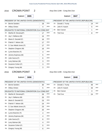#### 2016 CROWN POINT 2 Assy Dist 114th - Cong Dist 21st

Ballot#: **3005**

|                                               | PRESIDENT OF THE UNITED STATES (DEMOCRATIC)     |    |            |        | PRESIDENT OF THE UNITED STATES (REPUBLICAN)                    |    |                          |
|-----------------------------------------------|-------------------------------------------------|----|------------|--------|----------------------------------------------------------------|----|--------------------------|
| 1A.                                           | <b>Bernie Sanders</b>                           | 18 | <b>DEM</b> | 1A:    | Donald J. Trump                                                | 14 | <b>REP</b>               |
| 1B.                                           | <b>Hillary Clinton</b>                          | 4  | <b>DEM</b> | 2A:    | John R. Kasich                                                 | 5  | REP                      |
|                                               | DELEGATES TO NATIONAL CONVENTION 21st CONG DIST |    |            | 3A:    | Ben Carson                                                     | 1  | REP                      |
| 2A.                                           | Martha M. Devaney(F)                            | 17 | DEM        | 4A:    | <b>Ted Cruz</b>                                                | 8  | <b>REP</b>               |
| 3A.                                           | Jay V. Bellanca (M)                             | 15 | DEM        |        |                                                                |    |                          |
| 4A.                                           | Maria D. Dezotell (F)                           | 16 | DEM        |        |                                                                |    |                          |
| 5A.                                           | Patrick F. Nelson (M)                           | 17 | <b>DEM</b> |        |                                                                |    |                          |
| 6A.                                           | S. Sue Abbott-Jones (F)                         | 17 | <b>DEM</b> |        |                                                                |    |                          |
| 7A.                                           | Stephen Chagnon (M)                             | 16 | DEM        |        |                                                                |    |                          |
| 2B:                                           | Lynne Boecher (F)                               | 3  | <b>DEM</b> |        |                                                                |    |                          |
| 3B:                                           | Jeremy Espinosa (M)                             | 5  | <b>DEM</b> |        |                                                                |    |                          |
| 4B:                                           | Julie Garcia (F)                                | 6  | <b>DEM</b> |        |                                                                |    |                          |
| 5B:                                           | Larry Bulman (M)                                | 3  | <b>DEM</b> |        |                                                                |    |                          |
| 6B:                                           | Suzanne Cohen (F)                               | 3  | <b>DEM</b> |        |                                                                |    |                          |
|                                               | Gregory Young (M)                               | 3  | <b>DEM</b> |        |                                                                |    |                          |
| 7B:<br>2016                                   | Ballot#:<br>3006                                |    |            |        | Ballot#:<br>3048                                               |    |                          |
|                                               | PRESIDENT OF THE UNITED STATES (DEMOCRATIC)     |    |            |        |                                                                |    |                          |
|                                               | <b>Bernie Sanders</b>                           | 30 | <b>DEM</b> | 1A:    | PRESIDENT OF THE UNITED STATES (REPUBLICAN)<br>Donald J. Trump | 49 |                          |
|                                               | <b>Hillary Clinton</b>                          | 5  | <b>DEM</b> | 2A:    | John R. Kasich                                                 | 33 | <b>REP</b><br><b>REP</b> |
|                                               | DELEGATES TO NATIONAL CONVENTION 21st CONG DIST |    |            | $3A$ : | Ben Carson                                                     | 3  | <b>REP</b>               |
|                                               | Martha M. Devaney(F)                            | 26 | DEM        | 4A:    | <b>Ted Cruz</b>                                                | 24 | <b>REP</b>               |
|                                               | Jay V. Bellanca (M)                             | 25 | <b>DEM</b> |        |                                                                |    |                          |
|                                               | Maria D. Dezotell (F)                           | 23 | <b>DEM</b> |        |                                                                |    |                          |
| 1A:<br>1B.<br>2A:<br>3A.<br>4A.<br>5A.        | Patrick F. Nelson (M)                           | 24 | <b>DEM</b> |        |                                                                |    |                          |
|                                               | S. Sue Abbott-Jones (F)                         | 23 | <b>DEM</b> |        |                                                                |    |                          |
|                                               | Stephen Chagnon (M)                             | 20 | <b>DEM</b> |        |                                                                |    |                          |
|                                               | Lynne Boecher (F)                               | 4  | <b>DEM</b> |        |                                                                |    |                          |
|                                               | Jeremy Espinosa (M)                             | 4  | <b>DEM</b> |        |                                                                |    |                          |
|                                               | Julie Garcia (F)                                | 6  | DEM        |        |                                                                |    |                          |
|                                               | Larry Bulman (M)                                | 4  | <b>DEM</b> |        |                                                                |    |                          |
| 6A.<br>7A.<br>2B:<br>3B:<br>4B:<br>5B:<br>6B: | Suzanne Cohen (F)                               | 5  | <b>DEM</b> |        |                                                                |    |                          |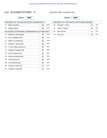#### 2016 ELIZABETHTOWN 0 Assy Dist 114th - Cong Dist 21st

Ballot#: **3007**

7B: Gregory Young (M) 22 DEM

|     | PRESIDENT OF THE UNITED STATES (DEMOCRATIC)     |    |            | PRESIDENT OF THE UNITED STATES (REPUBLICAN) |                   |                |            |
|-----|-------------------------------------------------|----|------------|---------------------------------------------|-------------------|----------------|------------|
| 1A: | <b>Bernie Sanders</b>                           | 66 | <b>DEM</b> | 1A:                                         | Donald J. Trump   | 70             | <b>REP</b> |
| 1B: | <b>Hillary Clinton</b>                          | 32 | <b>DEM</b> | 2A:                                         | John R. Kasich    | 47             | <b>REP</b> |
|     | DELEGATES TO NATIONAL CONVENTION 21st CONG DIST |    |            | 3A:                                         | <b>Ben Carson</b> | $\overline{4}$ | <b>REP</b> |
|     | 2A: Martha M. Devaney(F)                        | 46 | <b>DEM</b> | 4A:                                         | <b>Ted Cruz</b>   | 24             | <b>REP</b> |
| 3A: | Jay V. Bellanca (M)                             | 36 | <b>DEM</b> |                                             |                   |                |            |
| 4A: | Maria D. Dezotell (F)                           | 39 | <b>DEM</b> |                                             |                   |                |            |
| 5A: | Patrick F. Nelson (M)                           | 39 | <b>DEM</b> |                                             |                   |                |            |
| 6A: | S. Sue Abbott-Jones (F)                         | 51 | <b>DEM</b> |                                             |                   |                |            |
| 7A: | Stephen Chagnon (M)                             | 33 | <b>DEM</b> |                                             |                   |                |            |
| 2B: | Lynne Boecher (F)                               | 25 | <b>DEM</b> |                                             |                   |                |            |
| 3B: | Jeremy Espinosa (M)                             | 21 | <b>DEM</b> |                                             |                   |                |            |
| 4B: | Julie Garcia (F)                                | 45 | <b>DEM</b> |                                             |                   |                |            |
| 5B: | Larry Bulman (M)                                | 20 | <b>DEM</b> |                                             |                   |                |            |
| 6B. | Suzanne Cohen (F)                               | 24 | <b>DEM</b> |                                             |                   |                |            |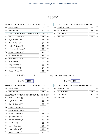## **ESSEX**

| PRESIDENT OF THE UNITED STATES (DEMOCRATIC) |                                                 |    |            |    |  |
|---------------------------------------------|-------------------------------------------------|----|------------|----|--|
| 1A:                                         | <b>Bernie Sanders</b>                           | 88 | <b>DEM</b> | 1A |  |
| 1B:                                         | <b>Hillary Clinton</b>                          | 30 | <b>DEM</b> | 2A |  |
|                                             | DELEGATES TO NATIONAL CONVENTION 21st CONG DIST |    |            | 3A |  |
| 2A:                                         | Martha M. Devaney(F)                            | 57 | <b>DEM</b> | 4A |  |
| 3A:                                         | Jay V. Bellanca (M)                             | 44 | <b>DEM</b> |    |  |
| 4A:                                         | Maria D. Dezotell (F)                           | 57 | <b>DEM</b> |    |  |
| 5A:                                         | Patrick F. Nelson (M)                           | 42 | <b>DEM</b> |    |  |
| 6A:                                         | S. Sue Abbott-Jones (F)                         | 58 | <b>DEM</b> |    |  |
| 7A:                                         | Stephen Chagnon (M)                             | 41 | <b>DEM</b> |    |  |
| 2B:                                         | Lynne Boecher (F)                               | 37 | <b>DEM</b> |    |  |
| 3B:                                         | Jeremy Espinosa (M)                             | 32 | <b>DEM</b> |    |  |
| 4B:                                         | Julie Garcia (F)                                | 52 | <b>DEM</b> |    |  |
| 5B:                                         | Larry Bulman (M)                                | 28 | <b>DEM</b> |    |  |
| 6B:                                         | Suzanne Cohen (F)                               | 37 | <b>DEM</b> |    |  |
| 7B:                                         | Gregory Young (M)                               | 26 | <b>DEM</b> |    |  |
|                                             |                                                 |    |            |    |  |

#### RESIDENT OF THE UNITED STATES (REPUBLICAN)  $\mathbf{A}: \begin{array}{|c|c|c|c|c|c|}\n\hline \text{Donald J. Trump} & & & \text{19}\n\hline \end{array}$  $\therefore$  John R. Kasich 33 REP

| 2A: | John R. Kasich | 33 | <b>REP</b> |
|-----|----------------|----|------------|
| 3A. | Ben Carson     |    | <b>RFP</b> |
|     | 4A: Ted Cruz   | 12 | <b>RFP</b> |

Ballot#: **3008**

2016 ESSEX 1 Assy Dist 114th - Cong Dist 21st

| PRESIDENT OF THE UNITED STATES (DEMOCRATIC) |                                                 |    |            |  |  |  |  |  |
|---------------------------------------------|-------------------------------------------------|----|------------|--|--|--|--|--|
| $1A$ :                                      | <b>Bernie Sanders</b>                           | 51 | <b>DEM</b> |  |  |  |  |  |
| 1B:                                         | <b>Hillary Clinton</b>                          | 15 | <b>DEM</b> |  |  |  |  |  |
|                                             | DELEGATES TO NATIONAL CONVENTION 21st CONG DIST |    |            |  |  |  |  |  |
| 2A:                                         | Martha M. Devaney(F)                            | 35 | <b>DEM</b> |  |  |  |  |  |
| 3A:                                         | Jay V. Bellanca (M)                             | 25 | <b>DEM</b> |  |  |  |  |  |
| 4A:                                         | Maria D. Dezotell (F)                           | 33 | <b>DEM</b> |  |  |  |  |  |
| 5A:                                         | Patrick F. Nelson (M)                           | 25 | <b>DEM</b> |  |  |  |  |  |
| 6A:                                         | S. Sue Abbott-Jones (F)                         | 36 | <b>DEM</b> |  |  |  |  |  |
| 7A:                                         | Stephen Chagnon (M)                             | 24 | <b>DEM</b> |  |  |  |  |  |
| 2B:                                         | Lynne Boecher (F)                               | 20 | <b>DEM</b> |  |  |  |  |  |
| 3B:                                         | Jeremy Espinosa (M)                             | 18 | <b>DEM</b> |  |  |  |  |  |
| 4B:                                         | Julie Garcia (F)                                | 30 | <b>DEM</b> |  |  |  |  |  |
| 5B:                                         | Larry Bulman (M)                                | 16 | <b>DEM</b> |  |  |  |  |  |
| 6B:                                         | Suzanne Cohen (F)                               | 19 | <b>DEM</b> |  |  |  |  |  |
| 7B:                                         | Gregory Young (M)                               | 15 | <b>DEM</b> |  |  |  |  |  |

|     | PRESIDENT OF THE UNITED STATES (REPUBLICAN) |    |            |  |
|-----|---------------------------------------------|----|------------|--|
| 1A. | Donald J. Trump                             |    | <b>REP</b> |  |
| 2A. | John R. Kasich                              | 18 | <b>REP</b> |  |
| 3A: | <b>Ben Carson</b>                           |    | <b>REP</b> |  |
| 4A: | <b>Ted Cruz</b>                             |    | <b>REP</b> |  |
|     |                                             |    |            |  |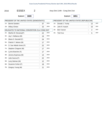| <b>ESSEX</b><br>2016 | Assy Dist 114th - Cong Dist 21st |
|----------------------|----------------------------------|
|----------------------|----------------------------------|

Ballot#: **3009**

7B: Gregory Young (M) 11 DEM

|     | PRESIDENT OF THE UNITED STATES (DEMOCRATIC)     |    |            | PRESIDENT OF THE UNITED STATES (REPUBLICAN) |                 |                |            |
|-----|-------------------------------------------------|----|------------|---------------------------------------------|-----------------|----------------|------------|
| 1A: | <b>Bernie Sanders</b>                           | 37 | <b>DEM</b> | 1A:                                         | Donald J. Trump | 12             | <b>REP</b> |
| 1B: | <b>Hillary Clinton</b>                          | 15 | <b>DEM</b> | 2A:                                         | John R. Kasich  | 15             | <b>REP</b> |
|     | DELEGATES TO NATIONAL CONVENTION 21st CONG DIST |    |            | 3A:                                         | Ben Carson      | $\overline{2}$ | <b>REP</b> |
| 2A: | Martha M. Devaney(F)                            | 22 | <b>DEM</b> | 4A:                                         | <b>Ted Cruz</b> | 5              | <b>REP</b> |
| 3A: | Jay V. Bellanca (M)                             | 19 | <b>DEM</b> |                                             |                 |                |            |
| 4A: | Maria D. Dezotell (F)                           | 24 | <b>DEM</b> |                                             |                 |                |            |
| 5A: | Patrick F. Nelson (M)                           | 17 | <b>DEM</b> |                                             |                 |                |            |
| 6A. | S. Sue Abbott-Jones (F)                         | 22 | <b>DEM</b> |                                             |                 |                |            |
| 7A. | Stephen Chagnon (M)                             | 17 | <b>DEM</b> |                                             |                 |                |            |
| 2B: | Lynne Boecher (F)                               | 17 | <b>DEM</b> |                                             |                 |                |            |
| 3B: | Jeremy Espinosa (M)                             | 14 | <b>DEM</b> |                                             |                 |                |            |
| 4B: | Julie Garcia (F)                                | 22 | <b>DEM</b> |                                             |                 |                |            |
| 5B: | Larry Bulman (M)                                | 12 | <b>DEM</b> |                                             |                 |                |            |
| 6B: | Suzanne Cohen (F)                               | 18 | <b>DEM</b> |                                             |                 |                |            |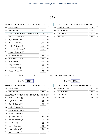## JAY

| 1A:  | <b>Bernie Sanders</b>                           | 179 | <b>DEM</b> | 1A: | Donald J. Trump                  | 114 | <b>REP</b> |
|------|-------------------------------------------------|-----|------------|-----|----------------------------------|-----|------------|
| 1B:  | <b>Hillary Clinton</b>                          | 75  | <b>DEM</b> | 2A: | John R. Kasich                   | 62  | <b>REP</b> |
|      | DELEGATES TO NATIONAL CONVENTION 21st CONG DIST |     |            | 3A: | Ben Carson                       | 8   | <b>REP</b> |
| 2A:  | Martha M. Devaney(F)                            | 112 | <b>DEM</b> | 4A: | <b>Ted Cruz</b>                  | 42  | <b>REP</b> |
| 3A:  | Jay V. Bellanca (M)                             | 98  | <b>DEM</b> |     |                                  |     |            |
| 4A:  | Maria D. Dezotell (F)                           | 107 | <b>DEM</b> |     |                                  |     |            |
| 5A:  | Patrick F. Nelson (M)                           | 109 | <b>DEM</b> |     |                                  |     |            |
| 6A:  | S. Sue Abbott-Jones (F)                         | 116 | <b>DEM</b> |     |                                  |     |            |
| 7A:  | Stephen Chagnon (M)                             | 89  | <b>DEM</b> |     |                                  |     |            |
| 2B:  | Lynne Boecher (F)                               | 75  | <b>DEM</b> |     |                                  |     |            |
| 3B:  | Jeremy Espinosa (M)                             | 66  | <b>DEM</b> |     |                                  |     |            |
| 4B:  | Julie Garcia (F)                                | 113 | <b>DEM</b> |     |                                  |     |            |
| 5B:  | Larry Bulman (M)                                | 62  | <b>DEM</b> |     |                                  |     |            |
| 6B:  | Suzanne Cohen (F)                               | 86  | <b>DEM</b> |     |                                  |     |            |
| 7B:  | Gregory Young (M)                               | 72  | <b>DEM</b> |     |                                  |     |            |
| 2016 | <b>JAY</b><br>1                                 |     |            |     | Assy Dist 114th - Cong Dist 21st |     |            |

DEM

| Ballot#: | 3010 |
|----------|------|
|          |      |

PRESIDENT OF THE UNITED STATES (DEMOCRATIC) 1A: Bernie Sanders 127

Ballot#: **3052** PRESIDENT OF THE UNITED STATES (REPUBLICAN) 1A: Donald J. Trump 87 2A: John R. Kasich 47

| 1B: | <b>Hillary Clinton</b>                          | 57 | <b>DEM</b> |  |  |  |  |  |
|-----|-------------------------------------------------|----|------------|--|--|--|--|--|
|     | DELEGATES TO NATIONAL CONVENTION 21st CONG DIST |    |            |  |  |  |  |  |
| 2A: | Martha M. Devaney(F)                            | 84 | <b>DEM</b> |  |  |  |  |  |
| 3A: | Jay V. Bellanca (M)                             | 69 | <b>DEM</b> |  |  |  |  |  |
| 4A: | Maria D. Dezotell (F)                           | 80 | <b>DEM</b> |  |  |  |  |  |
| 5A: | Patrick F. Nelson (M)                           | 78 | <b>DEM</b> |  |  |  |  |  |
| 6A. | S. Sue Abbott-Jones (F)                         | 87 | <b>DEM</b> |  |  |  |  |  |
| 7A: | Stephen Chagnon (M)                             | 67 | <b>DEM</b> |  |  |  |  |  |
| 2B: | Lynne Boecher (F)                               | 61 | <b>DEM</b> |  |  |  |  |  |
| 3B: | Jeremy Espinosa (M)                             | 51 | <b>DEM</b> |  |  |  |  |  |
| 4B: | Julie Garcia (F)                                | 83 | <b>DEM</b> |  |  |  |  |  |
| 5B: | Larry Bulman (M)                                | 44 | <b>DEM</b> |  |  |  |  |  |
| 6B: | Suzanne Cohen (F)                               | 61 | <b>DEM</b> |  |  |  |  |  |
| 7B: | Gregory Young (M)                               | 50 | <b>DEM</b> |  |  |  |  |  |

|     | PRESIDENT OF THE UNITED STATES (REPUBLICAN) |    |            |  |  |  |  |
|-----|---------------------------------------------|----|------------|--|--|--|--|
| 1A: | Donald J. Trump                             | 87 | <b>REP</b> |  |  |  |  |
| 2A. | John R. Kasich                              | 47 | <b>REP</b> |  |  |  |  |
| 3A. | Ben Carson                                  | 8  | <b>REP</b> |  |  |  |  |
| 4A: | <b>Ted Cruz</b>                             | 34 | <b>REP</b> |  |  |  |  |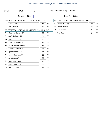

Ballot#: **3011**

7B: Gregory Young (M) 22 DEM

|     | PRESIDENT OF THE UNITED STATES (DEMOCRATIC)     |    |            |     | PRESIDENT OF THE UNITED STATES (REPUBLICAN) |           |            |
|-----|-------------------------------------------------|----|------------|-----|---------------------------------------------|-----------|------------|
| 1A: | <b>Bernie Sanders</b>                           | 52 | <b>DEM</b> | 1A: | Donald J. Trump                             | 27        | <b>REP</b> |
| 1B: | <b>Hillary Clinton</b>                          | 18 | <b>DEM</b> | 2A: | John R. Kasich                              | 15        | <b>REP</b> |
|     | DELEGATES TO NATIONAL CONVENTION 21st CONG DIST |    |            | 3A. | Ben Carson                                  | $\pmb{0}$ | <b>REP</b> |
| 2A: | Martha M. Devaney(F)                            | 28 | <b>DEM</b> | 4A. | <b>Ted Cruz</b>                             | 8         | <b>REP</b> |
| 3A: | Jay V. Bellanca (M)                             | 29 | <b>DEM</b> |     |                                             |           |            |
| 4A: | Maria D. Dezotell (F)                           | 27 | <b>DEM</b> |     |                                             |           |            |
| 5A: | Patrick F. Nelson (M)                           | 31 | <b>DEM</b> |     |                                             |           |            |
| 6A: | S. Sue Abbott-Jones (F)                         | 29 | <b>DEM</b> |     |                                             |           |            |
| 7A: | Stephen Chagnon (M)                             | 22 | <b>DEM</b> |     |                                             |           |            |
| 2B: | Lynne Boecher (F)                               | 14 | <b>DEM</b> |     |                                             |           |            |
| 3B: | Jeremy Espinosa (M)                             | 15 | <b>DEM</b> |     |                                             |           |            |
| 4B: | Julie Garcia (F)                                | 30 | <b>DEM</b> |     |                                             |           |            |
| 5B: | Larry Bulman (M)                                | 18 | <b>DEM</b> |     |                                             |           |            |
| 6B: | Suzanne Cohen (F)                               | 25 | <b>DEM</b> |     |                                             |           |            |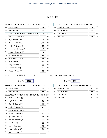## KEENE

|      | PRESIDENT OF THE UNITED STATES (DEMOCRATIC)     |     |            |     | PRESIDENT OF THE UNITED STATES (REPUBLICAN) |    |            |
|------|-------------------------------------------------|-----|------------|-----|---------------------------------------------|----|------------|
| 1A.  | <b>Bernie Sanders</b>                           | 134 | <b>DEM</b> | 1A: | Donald J. Trump                             | 54 | <b>REP</b> |
| 1B.  | <b>Hillary Clinton</b>                          | 88  | DEM        | 2A: | John R. Kasich                              | 62 | <b>REP</b> |
|      | DELEGATES TO NATIONAL CONVENTION 21st CONG DIST |     |            | 3A: | <b>Ben Carson</b>                           | 1  | <b>REP</b> |
| 2A.  | Martha M. Devaney(F)                            | 111 | <b>DEM</b> | 4A: | <b>Ted Cruz</b>                             | 14 | <b>REP</b> |
| 3A.  | Jay V. Bellanca (M)                             | 87  | <b>DEM</b> |     |                                             |    |            |
| 4A.  | Maria D. Dezotell (F)                           | 105 | <b>DEM</b> |     |                                             |    |            |
| 5A.  | Patrick F. Nelson (M)                           | 92  | <b>DEM</b> |     |                                             |    |            |
| 6A:  | S. Sue Abbott-Jones (F)                         | 117 | <b>DEM</b> |     |                                             |    |            |
| 7A:  | Stephen Chagnon (M)                             | 84  | <b>DEM</b> |     |                                             |    |            |
| 2B:  | Lynne Boecher (F)                               | 84  | <b>DEM</b> |     |                                             |    |            |
| 3B:  | Jeremy Espinosa (M)                             | 67  | <b>DEM</b> |     |                                             |    |            |
| 4B:  | Julie Garcia (F)                                | 102 | <b>DEM</b> |     |                                             |    |            |
| 5B:  | Larry Bulman (M)                                | 56  | <b>DEM</b> |     |                                             |    |            |
| 6B:  | Suzanne Cohen (F)                               | 75  | <b>DEM</b> |     |                                             |    |            |
| 7B:  | Gregory Young (M)                               | 60  | <b>DEM</b> |     |                                             |    |            |
| 2016 | 1<br><b>KEENE</b>                               |     |            |     | Assy Dist 114th - Cong Dist 21st            |    |            |
|      |                                                 |     |            |     |                                             |    |            |
|      | Ballot#:<br>3012                                |     |            |     | Ballot#:<br>3054                            |    |            |
|      | PRESIDENT OF THE UNITED STATES (DEMOCRATIC)     |     |            |     | PRESIDENT OF THE UNITED STATES (REPUBLICAN) |    |            |
| 1A:  | <b>Bernie Sanders</b>                           | 65  | <b>DEM</b> | 1A: | Donald J. Trump                             | 27 | <b>REP</b> |
| 1B:  | <b>Hillary Clinton</b>                          | 55  | DEM        | 2A: | John R. Kasich                              | 38 | <b>REP</b> |
|      | DELEGATES TO NATIONAL CONVENTION 21st CONG DIST |     |            | 3A: | <b>Ben Carson</b>                           | 0  | <b>REP</b> |
| 2A:  | Martha M. Devaney(F)                            | 50  | DEM        | 4A. | <b>Ted Cruz</b>                             | 6  | <b>REP</b> |
| 3A.  | Jay V. Bellanca (M)                             | 41  | <b>DEM</b> |     |                                             |    |            |
| 4A:  | Maria D. Dezotell (F)                           | 49  | <b>DEM</b> |     |                                             |    |            |
| 5A.  | Patrick F. Nelson (M)                           | 43  | <b>DEM</b> |     |                                             |    |            |
| 6A:  | S. Sue Abbott-Jones (F)                         | 53  | <b>DEM</b> |     |                                             |    |            |
| 7A:  | Stephen Chagnon (M)                             | 40  | <b>DEM</b> |     |                                             |    |            |
| 2B:  | Lynne Boecher (F)                               | 47  | <b>DEM</b> |     |                                             |    |            |
| 3B:  | Jeremy Espinosa (M)                             | 39  | <b>DEM</b> |     |                                             |    |            |

3B: Jeremy Espinosa (M) 39 5B: Larry Bulman (M) 34 DEM 4B: Julie Garcia (F) 56 DEM 6B: Suzanne Cohen (F) 41 DEM

7B: Gregory Young (M) 37 DEM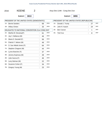| 2016 | <b>KEENE</b> | Assy Dist 114th - Cong Dist 21st |
|------|--------------|----------------------------------|
|      |              |                                  |

Ballot#: **3013**

7B: Gregory Young (M) 23 DEM

|     | PRESIDENT OF THE UNITED STATES (DEMOCRATIC)     |    |            |     | PRESIDENT OF THE UNITED STATES (REPUBLICAN) |    |            |
|-----|-------------------------------------------------|----|------------|-----|---------------------------------------------|----|------------|
| 1A: | <b>Bernie Sanders</b>                           | 69 | <b>DEM</b> | 1A: | Donald J. Trump                             | 27 | <b>REP</b> |
| 1B: | <b>Hillary Clinton</b>                          | 33 | <b>DEM</b> | 2A: | John R. Kasich                              | 24 | <b>REP</b> |
|     | DELEGATES TO NATIONAL CONVENTION 21st CONG DIST |    |            | 3A: | Ben Carson                                  | 1  | <b>REP</b> |
|     | 2A: Martha M. Devaney(F)                        | 61 | <b>DEM</b> | 4A: | <b>Ted Cruz</b>                             | 8  | <b>REP</b> |
| 3A: | Jay V. Bellanca (M)                             | 46 | <b>DEM</b> |     |                                             |    |            |
| 4A: | Maria D. Dezotell (F)                           | 56 | <b>DEM</b> |     |                                             |    |            |
| 5A: | Patrick F. Nelson (M)                           | 49 | <b>DEM</b> |     |                                             |    |            |
| 6A: | S. Sue Abbott-Jones (F)                         | 64 | <b>DEM</b> |     |                                             |    |            |
| 7A: | Stephen Chagnon (M)                             | 44 | <b>DEM</b> |     |                                             |    |            |
| 2B: | Lynne Boecher (F)                               | 37 | <b>DEM</b> |     |                                             |    |            |
| 3B: | Jeremy Espinosa (M)                             | 28 | <b>DEM</b> |     |                                             |    |            |
| 4B: | Julie Garcia (F)                                | 46 | <b>DEM</b> |     |                                             |    |            |
| 5B: | Larry Bulman (M)                                | 22 | <b>DEM</b> |     |                                             |    |            |
| 6B: | Suzanne Cohen (F)                               | 34 | <b>DEM</b> |     |                                             |    |            |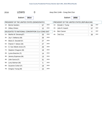| 2016 | <b>LEWIS</b> | Assy Dist 114th - Cong Dist 21st |
|------|--------------|----------------------------------|
|      |              |                                  |

Ballot#: **3014**

7B: Gregory Young (M) 15 DEM

|                                                 | PRESIDENT OF THE UNITED STATES (DEMOCRATIC) |    |            |     | PRESIDENT OF THE UNITED STATES (REPUBLICAN) |    |            |
|-------------------------------------------------|---------------------------------------------|----|------------|-----|---------------------------------------------|----|------------|
| 1A:                                             | <b>Bernie Sanders</b>                       | 57 | DEM        | 1A: | Donald J. Trump                             | 84 | <b>REP</b> |
| 1B:                                             | <b>Hillary Clinton</b>                      | 12 | DEM        | 2A: | John R. Kasich                              | 57 | <b>REP</b> |
| DELEGATES TO NATIONAL CONVENTION 21st CONG DIST |                                             |    |            | 3A: | Ben Carson                                  | 4  | <b>REP</b> |
| 2A:                                             | Martha M. Devaney(F)                        | 33 | DEM        | 4A: | <b>Ted Cruz</b>                             | 30 | <b>REP</b> |
| 3A:                                             | Jay V. Bellanca (M)                         | 26 | DEM        |     |                                             |    |            |
| 4A:                                             | Maria D. Dezotell (F)                       | 27 | <b>DEM</b> |     |                                             |    |            |
| 5A:                                             | Patrick F. Nelson (M)                       | 27 | DEM        |     |                                             |    |            |
| 6A:                                             | S. Sue Abbott-Jones (F)                     | 29 | <b>DEM</b> |     |                                             |    |            |
| 7A:                                             | Stephen Chagnon (M)                         | 18 | DEM        |     |                                             |    |            |
| 2B:                                             | Lynne Boecher (F)                           | 14 | DEM        |     |                                             |    |            |
| 3B:                                             | Jeremy Espinosa (M)                         | 13 | DEM        |     |                                             |    |            |
| 4B:                                             | Julie Garcia (F)                            | 31 | DEM        |     |                                             |    |            |
| 5B:                                             | Larry Bulman (M)                            | 5  | <b>DEM</b> |     |                                             |    |            |
| 6B:                                             | Suzanne Cohen (F)                           | 19 | <b>DEM</b> |     |                                             |    |            |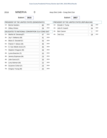0 Assy Dist 114th - Cong Dist 21st

Ballot#: **3015**

7B: Gregory Young (M) 25 DEM

| PRESIDENT OF THE UNITED STATES (DEMOCRATIC)     |                         |    | PRESIDENT OF THE UNITED STATES (REPUBLICAN) |            |                 |            |            |
|-------------------------------------------------|-------------------------|----|---------------------------------------------|------------|-----------------|------------|------------|
| 1A:                                             | <b>Bernie Sanders</b>   | 80 | <b>DEM</b>                                  | 1A:        | Donald J. Trump | 46         | <b>REP</b> |
| 1B:                                             | <b>Hillary Clinton</b>  | 29 | <b>DEM</b>                                  | 2A:        | John R. Kasich  | 34         | <b>REP</b> |
| DELEGATES TO NATIONAL CONVENTION 21st CONG DIST |                         |    | 3A:                                         | Ben Carson |                 | <b>REP</b> |            |
| 2A:                                             | Martha M. Devaney(F)    | 47 | <b>DEM</b>                                  | 4A:        | <b>Ted Cruz</b> | 18         | <b>REP</b> |
| 3A.                                             | Jay V. Bellanca (M)     | 41 | <b>DEM</b>                                  |            |                 |            |            |
| 4A.                                             | Maria D. Dezotell (F)   | 43 | <b>DEM</b>                                  |            |                 |            |            |
| 5A:                                             | Patrick F. Nelson (M)   | 46 | <b>DEM</b>                                  |            |                 |            |            |
| 6A:                                             | S. Sue Abbott-Jones (F) | 46 | <b>DEM</b>                                  |            |                 |            |            |
| 7A:                                             | Stephen Chagnon (M)     | 39 | <b>DEM</b>                                  |            |                 |            |            |
| 2B:                                             | Lynne Boecher (F)       | 20 | <b>DEM</b>                                  |            |                 |            |            |
| 3B:                                             | Jeremy Espinosa (M)     | 23 | <b>DEM</b>                                  |            |                 |            |            |
| 4B:                                             | Julie Garcia (F)        | 33 | <b>DEM</b>                                  |            |                 |            |            |
| 5B:                                             | Larry Bulman (M)        | 22 | <b>DEM</b>                                  |            |                 |            |            |
| 6B:                                             | Suzanne Cohen (F)       | 23 | <b>DEM</b>                                  |            |                 |            |            |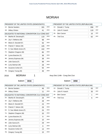### MORIAH

|        | PRESIDENT OF THE UNITED STATES (DEMOCRATIC)     |     |                              |  |
|--------|-------------------------------------------------|-----|------------------------------|--|
| $1A$ : | <b>Bernie Sanders</b>                           | 181 | <b>DEM</b><br>1.             |  |
| 1B:    | <b>Hillary Clinton</b>                          | 41  | <b>DEM</b><br>$\overline{2}$ |  |
|        | DELEGATES TO NATIONAL CONVENTION 21st CONG DIST |     | 3                            |  |
| 2A:    | Martha M. Devaney(F)                            | 119 | <b>DEM</b><br>$\overline{4}$ |  |
| 3A:    | Jay V. Bellanca (M)                             | 98  | <b>DEM</b>                   |  |
| 4A:    | Maria D. Dezotell (F)                           | 93  | <b>DEM</b>                   |  |
| 5A:    | Patrick F. Nelson (M)                           | 105 | <b>DEM</b>                   |  |
| 6A:    | S. Sue Abbott-Jones (F)                         | 102 | <b>DEM</b>                   |  |
| 7A:    | Stephen Chagnon (M)                             | 85  | <b>DEM</b>                   |  |
| 2B:    | Lynne Boecher (F)                               | 36  | <b>DEM</b>                   |  |
| 3B:    | Jeremy Espinosa (M)                             | 38  | <b>DEM</b>                   |  |
| 4B:    | Julie Garcia (F)                                | 99  | <b>DEM</b>                   |  |
| 5B:    | Larry Bulman (M)                                | 28  | <b>DEM</b>                   |  |
| 6B:    | Suzanne Cohen (F)                               | 55  | <b>DEM</b>                   |  |
| 7B:    | Gregory Young (M)                               | 46  | <b>DEM</b>                   |  |
| 2016   | <b>MORIAH</b>                                   |     | Assy [                       |  |
|        | Ballot#:<br>3016                                |     |                              |  |

#### PRESIDENT OF THE UNITED STATES (REPUBLICAN) A: Donald J. Trump 266 A: John R. Kasich 119 REP REP A: Ben Carson 10 REP A: Ted Cruz 62 REP

Dist 114th - Cong Dist 21st

| PRESIDENT OF THE UNITED STATES (DEMOCRATIC) |                                                 |    |            |  |  |  |  |  |  |  |
|---------------------------------------------|-------------------------------------------------|----|------------|--|--|--|--|--|--|--|
| $1A$ :                                      | <b>Bernie Sanders</b>                           | 46 | <b>DEM</b> |  |  |  |  |  |  |  |
| 1B:                                         | <b>Hillary Clinton</b>                          | 11 | DEM        |  |  |  |  |  |  |  |
|                                             | DELEGATES TO NATIONAL CONVENTION 21st CONG DIST |    |            |  |  |  |  |  |  |  |
| 2A:                                         | Martha M. Devaney(F)                            | 29 | <b>DEM</b> |  |  |  |  |  |  |  |
| 3A:                                         | Jay V. Bellanca (M)                             | 28 | <b>DEM</b> |  |  |  |  |  |  |  |
| 4A:                                         | Maria D. Dezotell (F)                           | 23 | <b>DEM</b> |  |  |  |  |  |  |  |
| 5A:                                         | Patrick F. Nelson (M)                           | 29 | <b>DEM</b> |  |  |  |  |  |  |  |
| 6A:                                         | S. Sue Abbott-Jones (F)                         | 25 | <b>DEM</b> |  |  |  |  |  |  |  |
| 7A:                                         | Stephen Chagnon (M)                             | 20 | <b>DEM</b> |  |  |  |  |  |  |  |
| 2B:                                         | Lynne Boecher (F)                               | 9  | <b>DEM</b> |  |  |  |  |  |  |  |
| 3B:                                         | Jeremy Espinosa (M)                             | 10 | <b>DEM</b> |  |  |  |  |  |  |  |
| 4B:                                         | Julie Garcia (F)                                | 29 | <b>DEM</b> |  |  |  |  |  |  |  |
| 5B:                                         | Larry Bulman (M)                                | 9  | <b>DEM</b> |  |  |  |  |  |  |  |
| 6B:                                         | Suzanne Cohen (F)                               | 13 | <b>DEM</b> |  |  |  |  |  |  |  |
| 7B:                                         | Gregory Young (M)                               | 15 | <b>DEM</b> |  |  |  |  |  |  |  |

|     | PRESIDENT OF THE UNITED STATES (REPUBLICAN) |    |            |  |
|-----|---------------------------------------------|----|------------|--|
| 1A. | Donald J. Trump                             | 63 | <b>REP</b> |  |
| 2A: | John R. Kasich                              | 35 | <b>REP</b> |  |
| 3A. | <b>Ben Carson</b>                           |    | <b>REP</b> |  |
| 4A: | <b>Ted Cruz</b>                             | 6  | <b>REP</b> |  |
|     |                                             |    |            |  |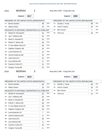| 2016 | <b>MORIAH</b><br>2                              |                |            |     | Assy Dist 114th - Cong Dist 21st            |    |            |
|------|-------------------------------------------------|----------------|------------|-----|---------------------------------------------|----|------------|
|      | Ballot#:<br>3017                                |                |            |     | Ballot#:<br>3059                            |    |            |
|      | PRESIDENT OF THE UNITED STATES (DEMOCRATIC)     |                |            |     | PRESIDENT OF THE UNITED STATES (REPUBLICAN) |    |            |
| 1A.  | <b>Bernie Sanders</b>                           | 48             | <b>DEM</b> | 1A: | Donald J. Trump                             | 98 | <b>REP</b> |
| 1B:  | <b>Hillary Clinton</b>                          | 16             | <b>DEM</b> | 2A: | John R. Kasich                              | 44 | <b>REP</b> |
|      | DELEGATES TO NATIONAL CONVENTION 21st CONG DIST |                |            | 3A: | <b>Ben Carson</b>                           | 1  | <b>REP</b> |
| 2A:  | Martha M. Devaney(F)                            | 33             | <b>DEM</b> | 4A: | <b>Ted Cruz</b>                             | 33 | <b>REP</b> |
| 3A:  | Jay V. Bellanca (M)                             | 24             | <b>DEM</b> |     |                                             |    |            |
| 4A:  | Maria D. Dezotell (F)                           | 24             | <b>DEM</b> |     |                                             |    |            |
| 5A:  | Patrick F. Nelson (M)                           | 26             | <b>DEM</b> |     |                                             |    |            |
| 6A.  | S. Sue Abbott-Jones (F)                         | 26             | <b>DEM</b> |     |                                             |    |            |
| 7A:  | Stephen Chagnon (M)                             | 24             | <b>DEM</b> |     |                                             |    |            |
| 2B.  | Lynne Boecher (F)                               | 12             | <b>DEM</b> |     |                                             |    |            |
| 3B.  | Jeremy Espinosa (M)                             | 14             | <b>DEM</b> |     |                                             |    |            |
| 4B.  | Julie Garcia (F)                                | 31             | <b>DEM</b> |     |                                             |    |            |
| 5B:  | Larry Bulman (M)                                | 8              | <b>DEM</b> |     |                                             |    |            |
| 6B.  | Suzanne Cohen (F)                               | 21             | <b>DEM</b> |     |                                             |    |            |
| 7B:  | Gregory Young (M)                               | 15             | <b>DEM</b> |     |                                             |    |            |
| 2016 | <b>MORIAH</b><br>3                              |                |            |     |                                             |    |            |
|      |                                                 |                |            |     | Assy Dist 114th - Cong Dist 21st            |    |            |
|      | Ballot#:<br>3018                                |                |            |     | Ballot#:<br>3060                            |    |            |
|      | PRESIDENT OF THE UNITED STATES (DEMOCRATIC)     |                |            |     | PRESIDENT OF THE UNITED STATES (REPUBLICAN) |    |            |
| 1A:  | <b>Bernie Sanders</b>                           | 48             | <b>DEM</b> | 1A: | Donald J. Trump                             | 66 | <b>REP</b> |
| 1B:  | <b>Hillary Clinton</b>                          | 10             | <b>DEM</b> | 2A: | John R. Kasich                              | 24 | <b>REP</b> |
|      | DELEGATES TO NATIONAL CONVENTION 21st CONG DIST |                |            | 3A: | Ben Carson                                  | 6  | <b>REP</b> |
| 2A:  | Martha M. Devaney(F)                            | 32             | DEM        | 4A: | <b>Ted Cruz</b>                             | 12 | <b>REP</b> |
| 3A:  | Jay V. Bellanca (M)                             | 25             | <b>DEM</b> |     |                                             |    |            |
| 4A:  | Maria D. Dezotell (F)                           | 28             | <b>DEM</b> |     |                                             |    |            |
| 5A:  | Patrick F. Nelson (M)                           | 30             | <b>DEM</b> |     |                                             |    |            |
| 6A:  | S. Sue Abbott-Jones (F)                         | 28             | <b>DEM</b> |     |                                             |    |            |
| 7A:  | Stephen Chagnon (M)                             | 25             | <b>DEM</b> |     |                                             |    |            |
| 2B.  | Lynne Boecher (F)                               | $\overline{7}$ | <b>DEM</b> |     |                                             |    |            |
| 3B.  | Jeremy Espinosa (M)                             | 8              | <b>DEM</b> |     |                                             |    |            |
| 4B.  | Julie Garcia (F)                                | 20             | <b>DEM</b> |     |                                             |    |            |
| 5B.  | Larry Bulman (M)                                | 6              | <b>DEM</b> |     |                                             |    |            |
| 6B:  | Suzanne Cohen (F)                               | 10             | <b>DEM</b> |     |                                             |    |            |

7B: Gregory Young (M) 8 DEM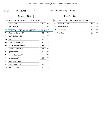|  | <b>MORIAH</b><br>2016 |  | Assy Dist 114th - Cong Dist 21st |
|--|-----------------------|--|----------------------------------|
|--|-----------------------|--|----------------------------------|

Ballot#: **3019**

7B: Gregory Young (M) 8

Ballot#: **3061**

|                                                 | PRESIDENT OF THE UNITED STATES (DEMOCRATIC) |    |            |     | PRESIDENT OF THE UNITED STATES (REPUBLICAN) |                |            |
|-------------------------------------------------|---------------------------------------------|----|------------|-----|---------------------------------------------|----------------|------------|
| 1A:                                             | <b>Bernie Sanders</b>                       | 39 | <b>DEM</b> | 1A. | Donald J. Trump                             | 39             | <b>REP</b> |
| 1B:                                             | <b>Hillary Clinton</b>                      | 4  | DEM        | 2A: | John R. Kasich                              | 16             | <b>REP</b> |
| DELEGATES TO NATIONAL CONVENTION 21st CONG DIST |                                             |    |            | 3A: | Ben Carson                                  | $\overline{2}$ | <b>REP</b> |
| 2A:                                             | Martha M. Devaney(F)                        | 25 | DEM        | 4A: | <b>Ted Cruz</b>                             | 11             | <b>REP</b> |
| 3A:                                             | Jay V. Bellanca (M)                         | 21 | <b>DEM</b> |     |                                             |                |            |
| 4A.                                             | Maria D. Dezotell (F)                       | 18 | <b>DEM</b> |     |                                             |                |            |
| 5A.                                             | Patrick F. Nelson (M)                       | 20 | <b>DEM</b> |     |                                             |                |            |
| 6A:                                             | S. Sue Abbott-Jones (F)                     | 23 | <b>DEM</b> |     |                                             |                |            |
| 7A:                                             | Stephen Chagnon (M)                         | 16 | <b>DEM</b> |     |                                             |                |            |
| 2B:                                             | Lynne Boecher (F)                           | 8  | <b>DEM</b> |     |                                             |                |            |
| 3B:                                             | Jeremy Espinosa (M)                         | 6  | DEM        |     |                                             |                |            |
| 4B:                                             | Julie Garcia (F)                            | 19 | <b>DEM</b> |     |                                             |                |            |
| 5B:                                             | Larry Bulman (M)                            | 5  | DEM        |     |                                             |                |            |
| 6B:                                             | Suzanne Cohen (F)                           | 11 | <b>DEM</b> |     |                                             |                |            |

DEM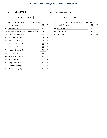2016 **NEWCOMB** 0 Assy Dist 114th - Cong Dist 21st

Ballot#: **3020**

7B: Gregory Young (M) 18 DEM

|                                                 | PRESIDENT OF THE UNITED STATES (DEMOCRATIC) |    |            |     | PRESIDENT OF THE UNITED STATES (REPUBLICAN) |    |            |
|-------------------------------------------------|---------------------------------------------|----|------------|-----|---------------------------------------------|----|------------|
| 1A:                                             | <b>Bernie Sanders</b>                       | 45 | DEM        | 1A: | Donald J. Trump                             | 30 | <b>REP</b> |
| 1B:                                             | <b>Hillary Clinton</b>                      | 17 | <b>DEM</b> | 2A: | John R. Kasich                              | 19 | <b>REP</b> |
| DELEGATES TO NATIONAL CONVENTION 21st CONG DIST |                                             |    |            | 3A: | Ben Carson                                  | 0  | <b>REP</b> |
| 2A:                                             | Martha M. Devaney(F)                        | 41 | DEM        | 4A: | <b>Ted Cruz</b>                             | 6  | <b>REP</b> |
| 3A:                                             | Jay V. Bellanca (M)                         | 27 | DEM        |     |                                             |    |            |
| 4A:                                             | Maria D. Dezotell (F)                       | 34 | DEM        |     |                                             |    |            |
| 5A:                                             | Patrick F. Nelson (M)                       | 38 | DEM        |     |                                             |    |            |
| 6A:                                             | S. Sue Abbott-Jones (F)                     | 33 | <b>DEM</b> |     |                                             |    |            |
| 7A:                                             | Stephen Chagnon (M)                         | 31 | DEM        |     |                                             |    |            |
| 2B:                                             | Lynne Boecher (F)                           | 14 | DEM        |     |                                             |    |            |
| 3B:                                             | Jeremy Espinosa (M)                         | 18 | DEM        |     |                                             |    |            |
| 4B:                                             | Julie Garcia (F)                            | 29 | DEM        |     |                                             |    |            |
| 5B:                                             | Larry Bulman (M)                            | 15 | <b>DEM</b> |     |                                             |    |            |
| 6B:                                             | Suzanne Cohen (F)                           | 23 | <b>DEM</b> |     |                                             |    |            |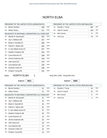## NORTH ELBA

 $\overline{\phantom{a}}$ 

|        | PRESIDENT OF THE UNITED STATES (DEMOCRATIC)     |     |            |
|--------|-------------------------------------------------|-----|------------|
| $1A$ : | <b>Bernie Sanders</b>                           | 436 | <b>DEM</b> |
| 1B:    | <b>Hillary Clinton</b>                          | 211 | <b>DEM</b> |
|        | DELEGATES TO NATIONAL CONVENTION 21st CONG DIST |     |            |
| 2A:    | Martha M. Devaney(F)                            | 292 | <b>DEM</b> |
| 3A.    | Jay V. Bellanca (M)                             | 257 | <b>DEM</b> |
| 4A:    | Maria D. Dezotell (F)                           | 289 | <b>DEM</b> |
| 5A:    | Patrick F. Nelson (M)                           | 264 | <b>DEM</b> |
| 6A:    | S. Sue Abbott-Jones (F)                         | 327 | <b>DEM</b> |
| 7A:    | Stephen Chagnon (M)                             | 253 | <b>DEM</b> |
| 2B:    | Lynne Boecher (F)                               | 188 | <b>DEM</b> |
| 3B:    | Jeremy Espinosa (M)                             | 158 | <b>DEM</b> |
| 4B:    | Julie Garcia (F)                                | 243 | <b>DEM</b> |
| 5B:    | Larry Bulman (M)                                | 136 | <b>DEM</b> |
| 6B:    | Suzanne Cohen (F)                               | 186 | <b>DEM</b> |
| 7B:    | Gregory Young (M)                               | 152 | <b>DEM</b> |

#### PRESIDENT OF THE UNITED STATES (REPUBLICAN) 1A: Donald J. Trump  $\overline{\phantom{a}}$  RFP

|     | $10.$ Durald J. Trump | 201 | .          |
|-----|-----------------------|-----|------------|
|     | 2A: John R. Kasich    | 243 | <b>REP</b> |
| 3A: | Ben Carson            |     | <b>REP</b> |
|     | 4A: Ted Cruz          | 79  | <b>REP</b> |

Ballot#: **3021**

2016 NORTH ELBA 1 Assy Dist 114th - Cong Dist 21st

|        | PRESIDENT OF THE UNITED STATES (DEMOCRATIC)     |    |            |
|--------|-------------------------------------------------|----|------------|
| $1A$ : | <b>Bernie Sanders</b>                           | 51 | <b>DEM</b> |
| 1B:    | <b>Hillary Clinton</b>                          | 21 | <b>DEM</b> |
|        | DELEGATES TO NATIONAL CONVENTION 21st CONG DIST |    |            |
| 2A:    | Martha M. Devaney(F)                            | 31 | <b>DEM</b> |
| 3A:    | Jay V. Bellanca (M)                             | 31 | <b>DEM</b> |
| 4A:    | Maria D. Dezotell (F)                           | 32 | <b>DEM</b> |
| 5A:    | Patrick F. Nelson (M)                           | 32 | <b>DEM</b> |
| 6A:    | S. Sue Abbott-Jones (F)                         | 37 | <b>DEM</b> |
| 7A:    | Stephen Chagnon (M)                             | 26 | <b>DEM</b> |
| 2B:    | Lynne Boecher (F)                               | 23 | <b>DEM</b> |
| 3B:    | Jeremy Espinosa (M)                             | 20 | <b>DEM</b> |
| 4B:    | Julie Garcia (F)                                | 29 | <b>DEM</b> |
| 5B:    | Larry Bulman (M)                                | 14 | <b>DEM</b> |
| 6B:    | Suzanne Cohen (F)                               | 22 | <b>DEM</b> |
| 7B:    | Gregory Young (M)                               | 19 | <b>DEM</b> |

| PRESIDENT OF THE UNITED STATES (REPUBLICAN) |                 |    |            |  |
|---------------------------------------------|-----------------|----|------------|--|
| 1A:                                         | Donald J. Trump | 24 | <b>REP</b> |  |
| 2A:                                         | John R. Kasich  | 31 | <b>REP</b> |  |
| 3A:                                         | Ben Carson      |    | <b>REP</b> |  |
| 4A:                                         | <b>Ted Cruz</b> | 3  | <b>REP</b> |  |
|                                             |                 |    |            |  |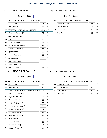#### 2016 NORTH ELBA 2 Assy Dist 114th - Cong Dist 21st

Ballot#: **3022**

Ballot#: **3064**

|             | PRESIDENT OF THE UNITED STATES (DEMOCRATIC)                             |     |            |     | PRESIDENT OF THE UNITED STATES (REPUBLICAN) |                |            |
|-------------|-------------------------------------------------------------------------|-----|------------|-----|---------------------------------------------|----------------|------------|
| 1A:         | <b>Bernie Sanders</b>                                                   | 110 | <b>DEM</b> | 1A: | Donald J. Trump                             | 38             | <b>REP</b> |
| 1B.         | <b>Hillary Clinton</b>                                                  | 45  | <b>DEM</b> | 2A: | John R. Kasich                              | 28             | <b>REP</b> |
|             | DELEGATES TO NATIONAL CONVENTION 21st CONG DIST                         |     |            | 3A. | Ben Carson                                  | $\overline{2}$ | <b>REP</b> |
| 2A.         | Martha M. Devaney(F)                                                    | 75  | DEM        | 4A. | <b>Ted Cruz</b>                             | 10             | <b>REP</b> |
| 3A.         | Jay V. Bellanca (M)                                                     | 67  | <b>DEM</b> |     |                                             |                |            |
| 4A.         | Maria D. Dezotell (F)                                                   | 72  | <b>DEM</b> |     |                                             |                |            |
| 5A.         | Patrick F. Nelson (M)                                                   | 69  | <b>DEM</b> |     |                                             |                |            |
| 6A.         | S. Sue Abbott-Jones (F)                                                 | 87  | <b>DEM</b> |     |                                             |                |            |
| 7A:         | Stephen Chagnon (M)                                                     | 68  | <b>DEM</b> |     |                                             |                |            |
| 2B.         | Lynne Boecher (F)                                                       | 36  | <b>DEM</b> |     |                                             |                |            |
| 3B.         | Jeremy Espinosa (M)                                                     | 36  | <b>DEM</b> |     |                                             |                |            |
| 4B:         | Julie Garcia (F)                                                        | 52  | <b>DEM</b> |     |                                             |                |            |
| 5B.         | Larry Bulman (M)                                                        | 29  | <b>DEM</b> |     |                                             |                |            |
| 6B:         | Suzanne Cohen (F)                                                       | 35  | <b>DEM</b> |     |                                             |                |            |
|             |                                                                         |     | <b>DEM</b> |     |                                             |                |            |
| 7B:         | Gregory Young (M)<br>3<br><b>NORTH ELBA</b>                             | 33  |            |     | Assy Dist 114th - Cong Dist 21st            |                |            |
|             | Ballot#:<br>3023                                                        |     |            |     | Ballot#:<br>3065                            |                |            |
| 1A.         | PRESIDENT OF THE UNITED STATES (DEMOCRATIC)                             |     | <b>DEM</b> | 1A: | PRESIDENT OF THE UNITED STATES (REPUBLICAN) |                | <b>REP</b> |
| 1B:         | <b>Bernie Sanders</b><br><b>Hillary Clinton</b>                         | 41  | DEM        | 2A: | Donald J. Trump<br>John R. Kasich           | 52             | <b>REP</b> |
|             |                                                                         | 26  |            | 3A. | Ben Carson                                  | 25<br>0        | <b>REP</b> |
| 2A:         | DELEGATES TO NATIONAL CONVENTION 21st CONG DIST<br>Martha M. Devaney(F) | 29  | DEM        | 4A. | <b>Ted Cruz</b>                             | 11             | <b>REP</b> |
|             | 3A: Jay V. Bellanca (M)                                                 | 29  | <b>DEM</b> |     |                                             |                |            |
| 4A.         | Maria D. Dezotell (F)                                                   | 28  | DEM        |     |                                             |                |            |
| 5A.         | Patrick F. Nelson (M)                                                   | 27  | <b>DEM</b> |     |                                             |                |            |
| 6A.         | S. Sue Abbott-Jones (F)                                                 | 33  | <b>DEM</b> |     |                                             |                |            |
| 7A.         | Stephen Chagnon (M)                                                     | 24  | DEM        |     |                                             |                |            |
| 2B:         | Lynne Boecher (F)                                                       | 27  | DEM        |     |                                             |                |            |
| 3B:         | Jeremy Espinosa (M)                                                     | 15  | DEM        |     |                                             |                |            |
| 2016<br>4B: | Julie Garcia (F)                                                        | 29  | DEM        |     |                                             |                |            |
| 5B.         | Larry Bulman (M)                                                        | 15  | DEM        |     |                                             |                |            |

7B: Gregory Young (M) 19 DEM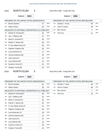#### 2016 NORTH ELBA 4 Assy Dist 114th - Cong Dist 21st

Ballot#: **3024**

Ballot#: **3066**

|                                                                           | PRESIDENT OF THE UNITED STATES (DEMOCRATIC)                             |          |            |               | PRESIDENT OF THE UNITED STATES (REPUBLICAN) |    |            |
|---------------------------------------------------------------------------|-------------------------------------------------------------------------|----------|------------|---------------|---------------------------------------------|----|------------|
| 1A.                                                                       | <b>Bernie Sanders</b>                                                   | 47       | DEM        | 1A:           | Donald J. Trump                             | 40 | <b>REP</b> |
| 1B.                                                                       | <b>Hillary Clinton</b>                                                  | 26       | <b>DEM</b> | 2A:           | John R. Kasich                              | 48 | <b>REP</b> |
|                                                                           | DELEGATES TO NATIONAL CONVENTION 21st CONG DIST                         |          |            | $3A$ :        | <b>Ben Carson</b>                           | 3  | <b>REP</b> |
| 2A:                                                                       | Martha M. Devaney(F)                                                    | 32       | DEM        | 4A:           | <b>Ted Cruz</b>                             | 11 | <b>REP</b> |
| 3A:                                                                       | Jay V. Bellanca (M)                                                     | 27       | DEM        |               |                                             |    |            |
| 4A:                                                                       | Maria D. Dezotell (F)                                                   | 35       | <b>DEM</b> |               |                                             |    |            |
| 5A:                                                                       | Patrick F. Nelson (M)                                                   | 29       | <b>DEM</b> |               |                                             |    |            |
| 6A.                                                                       | S. Sue Abbott-Jones (F)                                                 | 33       | <b>DEM</b> |               |                                             |    |            |
| 7A:                                                                       | Stephen Chagnon (M)                                                     | 26       | <b>DEM</b> |               |                                             |    |            |
| 2B.                                                                       | Lynne Boecher (F)                                                       | 17       | <b>DEM</b> |               |                                             |    |            |
| 3B.                                                                       | Jeremy Espinosa (M)                                                     | 16       | <b>DEM</b> |               |                                             |    |            |
| 4B.                                                                       | Julie Garcia (F)                                                        | 22       | <b>DEM</b> |               |                                             |    |            |
| 5B.                                                                       | Larry Bulman (M)                                                        | 14       | <b>DEM</b> |               |                                             |    |            |
| 6B.                                                                       | Suzanne Cohen (F)                                                       | 21       | <b>DEM</b> |               |                                             |    |            |
|                                                                           |                                                                         |          | <b>DEM</b> |               |                                             |    |            |
| 7B.<br>2016                                                               | Gregory Young (M)<br><b>NORTH ELBA</b><br>5                             | 15       |            |               | Assy Dist 114th - Cong Dist 21st            |    |            |
|                                                                           | Ballot#:<br>3025                                                        |          |            |               | Ballot#:<br>3067                            |    |            |
|                                                                           | PRESIDENT OF THE UNITED STATES (DEMOCRATIC)                             |          |            |               | PRESIDENT OF THE UNITED STATES (REPUBLICAN) |    | <b>REP</b> |
|                                                                           | <b>Bernie Sanders</b>                                                   | 61       | <b>DEM</b> | 1A:           | Donald J. Trump                             | 49 | <b>REP</b> |
|                                                                           | <b>Hillary Clinton</b>                                                  | 28       | <b>DEM</b> | 2A.<br>$3A$ : | John R. Kasich                              | 48 | <b>REP</b> |
|                                                                           | DELEGATES TO NATIONAL CONVENTION 21st CONG DIST<br>Martha M. Devaney(F) |          | DEM        | 4A.           | Ben Carson<br><b>Ted Cruz</b>               | 1  | <b>REP</b> |
|                                                                           |                                                                         | 39<br>32 | DEM        |               |                                             | 15 |            |
|                                                                           | 3A: Jay V. Bellanca (M)<br>Maria D. Dezotell (F)                        | 34       | <b>DEM</b> |               |                                             |    |            |
|                                                                           | Patrick F. Nelson (M)                                                   | 32       | <b>DEM</b> |               |                                             |    |            |
|                                                                           | S. Sue Abbott-Jones (F)                                                 | 41       | <b>DEM</b> |               |                                             |    |            |
|                                                                           | Stephen Chagnon (M)                                                     | 36       | <b>DEM</b> |               |                                             |    |            |
|                                                                           | Lynne Boecher (F)                                                       | 18       | <b>DEM</b> |               |                                             |    |            |
|                                                                           | Jeremy Espinosa (M)                                                     | 14       | DEM        |               |                                             |    |            |
|                                                                           | Julie Garcia (F)                                                        | 27       | <b>DEM</b> |               |                                             |    |            |
| 1A.<br>1B:<br>2A:<br>4A:<br>5A:<br>6A.<br>7A:<br>2B:<br>3B:<br>4B:<br>5B. | Larry Bulman (M)                                                        | 15       | DEM        |               |                                             |    |            |

7B: Gregory Young (M) 15 DEM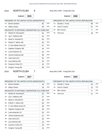| 2016 | <b>NORTH ELBA</b> |
|------|-------------------|
|      |                   |

6 Assy Dist 114th - Cong Dist 21st

Ballot#: **3026**

7B: Gregory Young (M) 15 DEM

|                                                                                                                         | PRESIDENT OF THE UNITED STATES (DEMOCRATIC)     |    |            |     | PRESIDENT OF THE UNITED STATES (REPUBLICAN) |    |            |
|-------------------------------------------------------------------------------------------------------------------------|-------------------------------------------------|----|------------|-----|---------------------------------------------|----|------------|
| 1A.                                                                                                                     | <b>Bernie Sanders</b>                           | 82 | <b>DEM</b> | 1A. | Donald J. Trump                             | 66 | <b>REP</b> |
| 1B:                                                                                                                     | <b>Hillary Clinton</b>                          | 46 | <b>DEM</b> | 2A: | John R. Kasich                              | 51 | <b>REP</b> |
|                                                                                                                         | DELEGATES TO NATIONAL CONVENTION 21st CONG DIST |    |            | 3A. | <b>Ben Carson</b>                           | 3  | <b>REP</b> |
| 2A:                                                                                                                     | Martha M. Devaney(F)                            | 54 | DEM        | 4A. | <b>Ted Cruz</b>                             | 18 | <b>REP</b> |
| 3A.                                                                                                                     | Jay V. Bellanca (M)                             | 44 | <b>DEM</b> |     |                                             |    |            |
| 4A:                                                                                                                     | Maria D. Dezotell (F)                           | 55 | <b>DEM</b> |     |                                             |    |            |
| 5A:                                                                                                                     | Patrick F. Nelson (M)                           | 45 | <b>DEM</b> |     |                                             |    |            |
| 6A:                                                                                                                     | S. Sue Abbott-Jones (F)                         | 57 | <b>DEM</b> |     |                                             |    |            |
| 7A:                                                                                                                     | Stephen Chagnon (M)                             | 44 | <b>DEM</b> |     |                                             |    |            |
| 2B:                                                                                                                     | Lynne Boecher (F)                               | 42 | <b>DEM</b> |     |                                             |    |            |
| 3B.                                                                                                                     | Jeremy Espinosa (M)                             | 36 | <b>DEM</b> |     |                                             |    |            |
| 4B:                                                                                                                     | Julie Garcia (F)                                | 54 | <b>DEM</b> |     |                                             |    |            |
| 5B.                                                                                                                     | Larry Bulman (M)                                | 34 | <b>DEM</b> |     |                                             |    |            |
| 6B:                                                                                                                     | Suzanne Cohen (F)                               | 42 | <b>DEM</b> |     |                                             |    |            |
| 7B:                                                                                                                     | Gregory Young (M)                               | 36 | <b>DEM</b> |     |                                             |    |            |
| <b>NORTH ELBA</b><br>$\overline{7}$<br>Assy Dist 114th - Cong Dist 21st<br>2016<br>Ballot#:<br>3027<br>Ballot#:<br>3069 |                                                 |    |            |     |                                             |    |            |
|                                                                                                                         |                                                 |    |            |     |                                             |    |            |
|                                                                                                                         | PRESIDENT OF THE UNITED STATES (DEMOCRATIC)     |    |            |     | PRESIDENT OF THE UNITED STATES (REPUBLICAN) |    |            |
| 1A.                                                                                                                     | <b>Bernie Sanders</b>                           | 44 | <b>DEM</b> | 1A. | Donald J. Trump                             | 18 | <b>REP</b> |
| 1B:                                                                                                                     | <b>Hillary Clinton</b>                          | 19 | DEM        | 2A: | John R. Kasich                              | 12 | REP        |
|                                                                                                                         | DELEGATES TO NATIONAL CONVENTION 21st CONG DIST |    |            | 3A. | Ben Carson                                  | 0  | <b>REP</b> |
| 2A:                                                                                                                     | Martha M. Devaney(F)                            | 32 | DEM        | 4A: | <b>Ted Cruz</b>                             | 11 | <b>REP</b> |
|                                                                                                                         | 3A: Jay V. Bellanca (M)                         | 27 | <b>DEM</b> |     |                                             |    |            |
| 4A:                                                                                                                     | Maria D. Dezotell (F)                           | 33 | <b>DEM</b> |     |                                             |    |            |
| 5A.                                                                                                                     | Patrick F. Nelson (M)                           | 30 | <b>DEM</b> |     |                                             |    |            |
| 6A.                                                                                                                     | S. Sue Abbott-Jones (F)                         | 39 | DEM        |     |                                             |    |            |
| 7A.                                                                                                                     | Stephen Chagnon (M)                             | 29 | DEM        |     |                                             |    |            |
| 2B:                                                                                                                     | Lynne Boecher (F)                               | 25 | DEM        |     |                                             |    |            |
| 3B.                                                                                                                     | Jeremy Espinosa (M)                             | 21 | DEM        |     |                                             |    |            |
| 4B:                                                                                                                     | Julie Garcia (F)                                | 30 | DEM        |     |                                             |    |            |
| 5B:                                                                                                                     | Larry Bulman (M)                                | 15 | DEM        |     |                                             |    |            |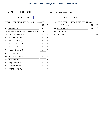#### 2016 NORTH HUDSON 0 Assy Dist 114th - Cong Dist 21st

Ballot#: **3028**

7B: Gregory Young (M) 6

Ballot#: **3070**

|     | PRESIDENT OF THE UNITED STATES (DEMOCRATIC)     |    |            |     | PRESIDENT OF THE UNITED STATES (REPUBLICAN) |    |            |
|-----|-------------------------------------------------|----|------------|-----|---------------------------------------------|----|------------|
| 1A: | <b>Bernie Sanders</b>                           | 12 | <b>DEM</b> | 1A: | Donald J. Trump                             | 39 | <b>REP</b> |
| 1B: | <b>Hillary Clinton</b>                          | 4  | <b>DEM</b> | 2A: | John R. Kasich                              | 14 | <b>REP</b> |
|     | DELEGATES TO NATIONAL CONVENTION 21st CONG DIST |    |            | 3A: | <b>Ben Carson</b>                           | 1  | <b>REP</b> |
| 2A: | Martha M. Devaney(F)                            | 9  | <b>DEM</b> | 4A: | <b>Ted Cruz</b>                             | 8  | <b>REP</b> |
| 3A: | Jay V. Bellanca (M)                             | 6  | <b>DEM</b> |     |                                             |    |            |
| 4A. | Maria D. Dezotell (F)                           | 9  | <b>DEM</b> |     |                                             |    |            |
| 5A. | Patrick F. Nelson (M)                           | 7  | <b>DEM</b> |     |                                             |    |            |
| 6A: | S. Sue Abbott-Jones (F)                         | 8  | <b>DEM</b> |     |                                             |    |            |
| 7A: | Stephen Chagnon (M)                             | 5  | <b>DEM</b> |     |                                             |    |            |
| 2B: | Lynne Boecher (F)                               | 7  | <b>DEM</b> |     |                                             |    |            |
| 3B: | Jeremy Espinosa (M)                             | 4  | <b>DEM</b> |     |                                             |    |            |
| 4B: | Julie Garcia (F)                                | 8  | <b>DEM</b> |     |                                             |    |            |
| 5B: | Larry Bulman (M)                                | 5  | <b>DEM</b> |     |                                             |    |            |
| 6B: | Suzanne Cohen (F)                               | 6  | <b>DEM</b> |     |                                             |    |            |

DEM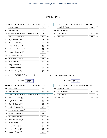### **SCHROON**

|     | PRESIDENT OF THE UNITED STATES (DEMOCRATIC)     |    |            |
|-----|-------------------------------------------------|----|------------|
| 1A: | <b>Bernie Sanders</b>                           | 61 | <b>DEM</b> |
| 1B: | <b>Hillary Clinton</b>                          | 29 | <b>DEM</b> |
|     | DELEGATES TO NATIONAL CONVENTION 21st CONG DIST |    |            |
| 2A: | Martha M. Devaney(F)                            | 39 | <b>DEM</b> |
| 3A: | Jay V. Bellanca (M)                             | 27 | <b>DEM</b> |
| 4A: | Maria D. Dezotell (F)                           | 39 | <b>DEM</b> |
| 5A: | Patrick F. Nelson (M)                           | 31 | <b>DEM</b> |
| 6A: | S. Sue Abbott-Jones (F)                         | 40 | <b>DEM</b> |
| 7A: | Stephen Chagnon (M)                             | 27 | <b>DEM</b> |
| 2B: | Lynne Boecher (F)                               | 31 | <b>DEM</b> |
| 3B: | Jeremy Espinosa (M)                             | 25 | <b>DEM</b> |
| 4B: | Julie Garcia (F)                                | 42 | <b>DEM</b> |
| 5B: | Larry Bulman (M)                                | 25 | <b>DEM</b> |
| 6B: | Suzanne Cohen (F)                               | 31 | <b>DEM</b> |
| 7B: | Gregory Young (M)                               | 27 | <b>DEM</b> |

#### PRESIDENT OF THE UNITED STATES (REPUBLICAN) 1A: Donald I. Trump  $\neg$ <sub>REP</sub>

|     | <b>A.</b> Donald J. Frump | ୀ ୦୦ | 1 N L L    |
|-----|---------------------------|------|------------|
|     | 2A: John R. Kasich        |      | <b>REP</b> |
| 3A: | Ben Carson                |      | <b>REP</b> |
|     | 4A:   Ted Cruz            | 88   | <b>RFP</b> |

Ballot#: **3029**

2016 SCHROON 1 Assy Dist 114th - Cong Dist 21st

|     | PRESIDENT OF THE UNITED STATES (DEMOCRATIC)     |    |            |
|-----|-------------------------------------------------|----|------------|
| 1A: | <b>Bernie Sanders</b>                           | 32 | <b>DEM</b> |
| 1B: | <b>Hillary Clinton</b>                          | 11 | <b>DEM</b> |
|     | DELEGATES TO NATIONAL CONVENTION 21st CONG DIST |    |            |
| 2A: | Martha M. Devaney(F)                            | 18 | <b>DEM</b> |
| 3A: | Jay V. Bellanca (M)                             | 13 | <b>DEM</b> |
| 4A: | Maria D. Dezotell (F)                           | 18 | <b>DEM</b> |
| 5A: | Patrick F. Nelson (M)                           | 18 | <b>DEM</b> |
| 6A: | S. Sue Abbott-Jones (F)                         | 20 | <b>DEM</b> |
| 7A: | Stephen Chagnon (M)                             | 14 | <b>DEM</b> |
| 2B: | Lynne Boecher (F)                               | 10 | <b>DEM</b> |
| 3B: | Jeremy Espinosa (M)                             | 10 | <b>DEM</b> |
| 4B: | Julie Garcia (F)                                | 17 | <b>DEM</b> |
| 5B: | Larry Bulman (M)                                | 8  | <b>DEM</b> |
| 6B: | Suzanne Cohen (F)                               | 12 | <b>DEM</b> |
| 7B: | Gregory Young (M)                               | 11 | <b>DEM</b> |

|     | PRESIDENT OF THE UNITED STATES (REPUBLICAN) |    |            |  |
|-----|---------------------------------------------|----|------------|--|
| 1A. | Donald J. Trump                             | 77 | <b>REP</b> |  |
| 2A. | John R. Kasich                              | 37 | <b>REP</b> |  |
| 3A: | Ben Carson                                  | 3  | <b>REP</b> |  |
| 4A: | <b>Ted Cruz</b>                             | 38 | <b>REP</b> |  |
|     |                                             |    |            |  |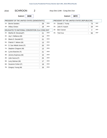2 Assy Dist 114th - Cong Dist 21st

Ballot#: **3030**

7B: Gregory Young (M) 16 DEM

| PRESIDENT OF THE UNITED STATES (DEMOCRATIC) |                                                 |    |            | PRESIDENT OF THE UNITED STATES (REPUBLICAN) |                 |    |            |  |
|---------------------------------------------|-------------------------------------------------|----|------------|---------------------------------------------|-----------------|----|------------|--|
| 1A:                                         | <b>Bernie Sanders</b>                           | 29 | DEM        | 1A:                                         | Donald J. Trump | 73 | <b>REP</b> |  |
| 1B:                                         | <b>Hillary Clinton</b>                          | 18 | <b>DEM</b> | 2A:                                         | John R. Kasich  | 34 | <b>REP</b> |  |
|                                             | DELEGATES TO NATIONAL CONVENTION 21st CONG DIST |    |            | 3A:                                         | Ben Carson      | 2  | <b>REP</b> |  |
| 2A:                                         | Martha M. Devaney(F)                            | 21 | <b>DEM</b> | 4A:                                         | <b>Ted Cruz</b> | 50 | <b>REP</b> |  |
| 3A:                                         | Jay V. Bellanca (M)                             | 14 | <b>DEM</b> |                                             |                 |    |            |  |
| 4A:                                         | Maria D. Dezotell (F)                           | 21 | <b>DEM</b> |                                             |                 |    |            |  |
| 5A:                                         | Patrick F. Nelson (M)                           | 13 | <b>DEM</b> |                                             |                 |    |            |  |
| 6A:                                         | S. Sue Abbott-Jones (F)                         | 20 | <b>DEM</b> |                                             |                 |    |            |  |
| 7A:                                         | Stephen Chagnon (M)                             | 13 | <b>DEM</b> |                                             |                 |    |            |  |
| 2B:                                         | Lynne Boecher (F)                               | 21 | <b>DEM</b> |                                             |                 |    |            |  |
| 3B:                                         | Jeremy Espinosa (M)                             | 15 | <b>DEM</b> |                                             |                 |    |            |  |
| 4B:                                         | Julie Garcia (F)                                | 25 | DEM        |                                             |                 |    |            |  |
| 5B:                                         | Larry Bulman (M)                                | 17 | <b>DEM</b> |                                             |                 |    |            |  |
| 6B:                                         | Suzanne Cohen (F)                               | 19 | DEM        |                                             |                 |    |            |  |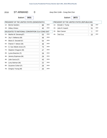#### 2016 ST ARMAND 0 Assy Dist 114th - Cong Dist 21st

Ballot#: **3031**

7B: Gregory Young (M) 26 DEM

|     | PRESIDENT OF THE UNITED STATES (DEMOCRATIC)     |    |            |     | PRESIDENT OF THE UNITED STATES (REPUBLICAN) |    |            |
|-----|-------------------------------------------------|----|------------|-----|---------------------------------------------|----|------------|
| 1A: | Bernie Sanders                                  | 88 | <b>DEM</b> | 1A: | Donald J. Trump                             | 59 | <b>REP</b> |
| 1B: | <b>Hillary Clinton</b>                          | 40 | <b>DEM</b> | 2A: | John R. Kasich                              | 51 | <b>REP</b> |
|     | DELEGATES TO NATIONAL CONVENTION 21st CONG DIST |    |            | 3A: | <b>Ben Carson</b>                           | 1  | <b>REP</b> |
| 2A: | Martha M. Devaney(F)                            | 53 | DEM        | 4A. | <b>Ted Cruz</b>                             | 22 | <b>REP</b> |
| 3A: | Jay V. Bellanca (M)                             | 49 | <b>DEM</b> |     |                                             |    |            |
| 4A. | Maria D. Dezotell (F)                           | 54 | <b>DEM</b> |     |                                             |    |            |
| 5A: | Patrick F. Nelson (M)                           | 48 | <b>DEM</b> |     |                                             |    |            |
| 6A: | S. Sue Abbott-Jones (F)                         | 73 | <b>DEM</b> |     |                                             |    |            |
| 7A: | Stephen Chagnon (M)                             | 47 | <b>DEM</b> |     |                                             |    |            |
| 2B: | Lynne Boecher (F)                               | 28 | <b>DEM</b> |     |                                             |    |            |
| 3B: | Jeremy Espinosa (M)                             | 29 | <b>DEM</b> |     |                                             |    |            |
| 4B: | Julie Garcia (F)                                | 43 | <b>DEM</b> |     |                                             |    |            |
| 5B: | Larry Bulman (M)                                | 22 | <b>DEM</b> |     |                                             |    |            |
| 6B: | Suzanne Cohen (F)                               | 29 | <b>DEM</b> |     |                                             |    |            |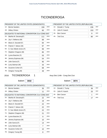## **TICONDEROGA**

|     | PRESIDENT OF THE UNITED STATES (DEMOCRATIC)     |     |            |
|-----|-------------------------------------------------|-----|------------|
| 1A: | <b>Bernie Sanders</b>                           | 159 | <b>DEM</b> |
| 1B: | <b>Hillary Clinton</b>                          | 60  | <b>DEM</b> |
|     | DELEGATES TO NATIONAL CONVENTION 21st CONG DIST |     |            |
| 2A: | Martha M. Devaney(F)                            | 111 | <b>DEM</b> |
| 3A: | Jay V. Bellanca (M)                             | 89  | <b>DEM</b> |
| 4A: | Maria D. Dezotell (F)                           | 84  | <b>DEM</b> |
| 5A: | Patrick F. Nelson (M)                           | 97  | <b>DEM</b> |
| 6A: | S. Sue Abbott-Jones (F)                         | 99  | <b>DEM</b> |
| 7A: | Stephen Chagnon (M)                             | 85  | <b>DEM</b> |
| 2B: | Lynne Boecher (F)                               | 53  | <b>DEM</b> |
| 3B: | Jeremy Espinosa (M)                             | 54  | <b>DEM</b> |
| 4B: | Julie Garcia (F)                                | 95  | <b>DEM</b> |
| 5B: | Larry Bulman (M)                                | 44  | <b>DEM</b> |
| 6B: | Suzanne Cohen (F)                               | 68  | <b>DEM</b> |
| 7B: | Gregory Young (M)                               | 49  | <b>DEM</b> |

#### PRESIDENT OF THE UNITED STATES (REPUBLICAN)

| 1A: | Donald J. Trump    | 235 | REP        |
|-----|--------------------|-----|------------|
|     | 2A: John R. Kasich | 153 | <b>REP</b> |
|     | 3A: Ben Carson     |     | <b>REP</b> |
| 4A: | Ted Cruz           | 80  | <b>REP</b> |

#### 2016 TICONDEROGA 1 Assy Dist 114th - Cong Dist 21st

Ballot#: **3032**

Ballot#: **3074**

|        | PRESIDENT OF THE UNITED STATES (DEMOCRATIC)     |                |            |
|--------|-------------------------------------------------|----------------|------------|
| $1A$ : | <b>Bernie Sanders</b>                           | 35             | <b>DEM</b> |
| 1B:    | <b>Hillary Clinton</b>                          | 11             | <b>DEM</b> |
|        | DELEGATES TO NATIONAL CONVENTION 21st CONG DIST |                |            |
| 2A:    | Martha M. Devaney(F)                            | 22             | <b>DEM</b> |
| 3A:    | Jay V. Bellanca (M)                             | 19             | <b>DEM</b> |
| 4A:    | Maria D. Dezotell (F)                           | 22             | <b>DEM</b> |
| 5A:    | Patrick F. Nelson (M)                           | 22             | <b>DEM</b> |
| 6A:    | S. Sue Abbott-Jones (F)                         | 22             | <b>DEM</b> |
| 7A:    | Stephen Chagnon (M)                             | 21             | <b>DEM</b> |
| 2B:    | Lynne Boecher (F)                               | 9              | <b>DEM</b> |
| 3B:    | Jeremy Espinosa (M)                             | 10             | <b>DEM</b> |
| 4B:    | Julie Garcia (F)                                | 14             | <b>DEM</b> |
| 5B:    | Larry Bulman (M)                                | $\overline{7}$ | <b>DEM</b> |
| 6B:    | Suzanne Cohen (F)                               | 10             | <b>DEM</b> |
| 7B:    | Gregory Young (M)                               | 8              | <b>DEM</b> |

#### PRESIDENT OF THE UNITED STATES (REPUBLICAN) 1A: Donald J. Trump 36 2A: John R. Kasich 25 REP REP 3A: Ben Carson 1 REP 4A: Ted Cruz 17 REP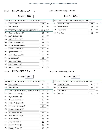#### 2016 TICONDEROGA 2 Assy Dist 114th - Cong Dist 21st

Ballot#: **3033**

|                                                                                         | PRESIDENT OF THE UNITED STATES (DEMOCRATIC)                          |                |            |     | PRESIDENT OF THE UNITED STATES (REPUBLICAN)                    |                |            |
|-----------------------------------------------------------------------------------------|----------------------------------------------------------------------|----------------|------------|-----|----------------------------------------------------------------|----------------|------------|
| 1A:                                                                                     | <b>Bernie Sanders</b>                                                | 28             | <b>DEM</b> | 1A: | Donald J. Trump                                                | 44             | <b>REP</b> |
| 1B.                                                                                     | <b>Hillary Clinton</b>                                               | 9              | <b>DEM</b> | 2A: | John R. Kasich                                                 | 27             | <b>REP</b> |
|                                                                                         | DELEGATES TO NATIONAL CONVENTION 21st CONG DIST                      |                |            | 3A: | <b>Ben Carson</b>                                              | $\overline{2}$ | <b>REP</b> |
| 2A.                                                                                     | Martha M. Devaney(F)                                                 | 16             | <b>DEM</b> | 4A: | <b>Ted Cruz</b>                                                | 19             | <b>REP</b> |
| 3A.                                                                                     | Jay V. Bellanca (M)                                                  | 13             | <b>DEM</b> |     |                                                                |                |            |
| 4A:                                                                                     | Maria D. Dezotell (F)                                                | 13             | <b>DEM</b> |     |                                                                |                |            |
| 5A.                                                                                     | Patrick F. Nelson (M)                                                | 13             | <b>DEM</b> |     |                                                                |                |            |
| 6A:                                                                                     | S. Sue Abbott-Jones (F)                                              | 16             | <b>DEM</b> |     |                                                                |                |            |
| 7A:                                                                                     | Stephen Chagnon (M)                                                  | 10             | <b>DEM</b> |     |                                                                |                |            |
| 2B:                                                                                     | Lynne Boecher (F)                                                    | 5              | <b>DEM</b> |     |                                                                |                |            |
| 3B.                                                                                     | Jeremy Espinosa (M)                                                  | 4              | <b>DEM</b> |     |                                                                |                |            |
| 4B:                                                                                     | Julie Garcia (F)                                                     | 14             | <b>DEM</b> |     |                                                                |                |            |
| 5B:                                                                                     | Larry Bulman (M)                                                     | 5              | <b>DEM</b> |     |                                                                |                |            |
|                                                                                         | Suzanne Cohen (F)                                                    | $\overline{7}$ | <b>DEM</b> |     |                                                                |                |            |
|                                                                                         |                                                                      | 6              | <b>DEM</b> |     |                                                                |                |            |
| 6B:<br>7B:<br>2016                                                                      | Gregory Young (M)<br><b>TICONDEROGA</b><br>3<br>Ballot#:<br>3034     |                |            |     | Assy Dist 114th - Cong Dist 21st<br>Ballot#:<br>3076           |                |            |
|                                                                                         |                                                                      |                |            |     |                                                                |                |            |
|                                                                                         | PRESIDENT OF THE UNITED STATES (DEMOCRATIC)<br><b>Bernie Sanders</b> | 16             | <b>DEM</b> | 1A: | PRESIDENT OF THE UNITED STATES (REPUBLICAN)<br>Donald J. Trump | 42             | <b>REP</b> |
|                                                                                         | <b>Hillary Clinton</b>                                               | 11             | <b>DEM</b> | 2A: | John R. Kasich                                                 | 32             | <b>REP</b> |
|                                                                                         | DELEGATES TO NATIONAL CONVENTION 21st CONG DIST                      |                |            | 3A: | Ben Carson                                                     | 3              | <b>REP</b> |
|                                                                                         | Martha M. Devaney(F)                                                 | 11             | <b>DEM</b> | 4A: | <b>Ted Cruz</b>                                                | 11             | <b>REP</b> |
|                                                                                         | Jay V. Bellanca (M)                                                  | 8              | DEM        |     |                                                                |                |            |
|                                                                                         | Maria D. Dezotell (F)                                                | $\overline{7}$ | <b>DEM</b> |     |                                                                |                |            |
|                                                                                         | Patrick F. Nelson (M)                                                | $\overline{7}$ | <b>DEM</b> |     |                                                                |                |            |
|                                                                                         | S. Sue Abbott-Jones (F)                                              | 12             | DEM        |     |                                                                |                |            |
|                                                                                         | Stephen Chagnon (M)                                                  | 5              | DEM        |     |                                                                |                |            |
|                                                                                         | Lynne Boecher (F)                                                    | 15             | DEM        |     |                                                                |                |            |
|                                                                                         | Jeremy Espinosa (M)                                                  | 10             | <b>DEM</b> |     |                                                                |                |            |
|                                                                                         | Julie Garcia (F)                                                     | 17             | DEM        |     |                                                                |                |            |
|                                                                                         | Larry Bulman (M)                                                     | 11             | <b>DEM</b> |     |                                                                |                |            |
| 1A.<br>1B:<br>2A:<br>3A:<br>4A.<br>5A:<br>6A.<br>7A.<br>2B:<br>3B:<br>4B:<br>5B:<br>6B. | Suzanne Cohen (F)                                                    | 15             | DEM        |     |                                                                |                |            |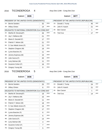#### 2016 TICONDEROGA 4 Assy Dist 114th - Cong Dist 21st

Ballot#: **3035**

7B: Gregory Young (M) 5

Ballot#: **3077**

|      | PRESIDENT OF THE UNITED STATES (DEMOCRATIC)     |          |            |            | PRESIDENT OF THE UNITED STATES (REPUBLICAN) |         |            |
|------|-------------------------------------------------|----------|------------|------------|---------------------------------------------|---------|------------|
| 1A.  | <b>Bernie Sanders</b>                           | 32       | <b>DEM</b> | 1A:        | Donald J. Trump                             | 45      | <b>REP</b> |
| 1B.  | <b>Hillary Clinton</b>                          | 14       | <b>DEM</b> | 2A:        | John R. Kasich                              | 21      | <b>REP</b> |
|      | DELEGATES TO NATIONAL CONVENTION 21st CONG DIST |          |            | 3A:        | <b>Ben Carson</b>                           | 1       | <b>REP</b> |
| 2A.  | Martha M. Devaney(F)                            | 26       | <b>DEM</b> | 4A:        | <b>Ted Cruz</b>                             | 17      | <b>REP</b> |
| 3A.  | Jay V. Bellanca (M)                             | 21       | <b>DEM</b> |            |                                             |         |            |
| 4A.  | Maria D. Dezotell (F)                           | 17       | <b>DEM</b> |            |                                             |         |            |
| 5A.  | Patrick F. Nelson (M)                           | 21       | <b>DEM</b> |            |                                             |         |            |
| 6A.  | S. Sue Abbott-Jones (F)                         | 21       | <b>DEM</b> |            |                                             |         |            |
| 7A.  | Stephen Chagnon (M)                             | 19       | <b>DEM</b> |            |                                             |         |            |
| 2B:  | Lynne Boecher (F)                               | 11       | <b>DEM</b> |            |                                             |         |            |
| 3B:  | Jeremy Espinosa (M)                             | 15       | <b>DEM</b> |            |                                             |         |            |
| 4B:  | Julie Garcia (F)                                | 20       | <b>DEM</b> |            |                                             |         |            |
| 5B:  | Larry Bulman (M)                                | 11       | <b>DEM</b> |            |                                             |         |            |
| 6B:  | Suzanne Cohen (F)                               | 16       | <b>DEM</b> |            |                                             |         |            |
| 7B:  | Gregory Young (M)                               | 9        | <b>DEM</b> |            |                                             |         |            |
| 2016 | <b>TICONDEROGA</b><br>5                         |          |            |            | Assy Dist 114th - Cong Dist 21st            |         |            |
|      | Ballot#:<br>3036                                |          |            |            | Ballot#:<br>3078                            |         |            |
|      | PRESIDENT OF THE UNITED STATES (DEMOCRATIC)     |          | <b>DEM</b> |            | PRESIDENT OF THE UNITED STATES (REPUBLICAN) |         | <b>REP</b> |
| 1A.  | <b>Bernie Sanders</b>                           | 25       |            | 1A:        | Donald J. Trump                             | 24      | <b>REP</b> |
| 1B.  | <b>Hillary Clinton</b>                          | 6        | <b>DEM</b> | 2A:<br>3A: | John R. Kasich                              | 21      | <b>REP</b> |
| 2A:  | DELEGATES TO NATIONAL CONVENTION 21st CONG DIST |          | DEM        | 4A:        | <b>Ben Carson</b><br><b>Ted Cruz</b>        | 1<br>14 | <b>REP</b> |
|      | Martha M. Devaney(F)<br>3A: Jay V. Bellanca (M) | 19<br>15 | <b>DEM</b> |            |                                             |         |            |
| 4A.  | Maria D. Dezotell (F)                           | 11       | <b>DEM</b> |            |                                             |         |            |
| 5A:  | Patrick F. Nelson (M)                           | 18       | <b>DEM</b> |            |                                             |         |            |
| 6A.  | S. Sue Abbott-Jones (F)                         | 15       | <b>DEM</b> |            |                                             |         |            |
| 7A:  | Stephen Chagnon (M)                             | 17       | <b>DEM</b> |            |                                             |         |            |
| 2B:  | Lynne Boecher (F)                               | 6        | <b>DEM</b> |            |                                             |         |            |
| 3B:  | Jeremy Espinosa (M)                             | 6        | <b>DEM</b> |            |                                             |         |            |
| 4B:  | Julie Garcia (F)                                | 14       | <b>DEM</b> |            |                                             |         |            |
| 5B.  | Larry Bulman (M)                                | 4        | <b>DEM</b> |            |                                             |         |            |

DEM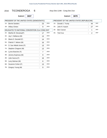hг

#### 2016 TICONDEROGA 6 Assy Dist 114th - Cong Dist 21st

Ballot#: **3037**

7B: Gregory Young (M) 9

Ballot#: **3079**

| PRESIDENT OF THE UNITED STATES (DEMOCRATIC) |                                                 |                | PRESIDENT OF THE UNITED STATES (REPUBLICAN) |     |                   |    |            |
|---------------------------------------------|-------------------------------------------------|----------------|---------------------------------------------|-----|-------------------|----|------------|
| 1A:                                         | <b>Bernie Sanders</b>                           | 23             | <b>DEM</b>                                  | 1A. | Donald J. Trump   | 44 | <b>REP</b> |
| 1B:                                         | <b>Hillary Clinton</b>                          | 9              | <b>DEM</b>                                  | 2A: | John R. Kasich    | 27 | <b>REP</b> |
|                                             | DELEGATES TO NATIONAL CONVENTION 21st CONG DIST |                |                                             | 3A: | <b>Ben Carson</b> | 1  | <b>REP</b> |
| 2A:                                         | Martha M. Devaney(F)                            | 17             | <b>DEM</b>                                  | 4A. | <b>Ted Cruz</b>   | 2  | <b>REP</b> |
| 3A:                                         | Jay V. Bellanca (M)                             | 13             | <b>DEM</b>                                  |     |                   |    |            |
| 4A:                                         | Maria D. Dezotell (F)                           | 14             | <b>DEM</b>                                  |     |                   |    |            |
| 5A:                                         | Patrick F. Nelson (M)                           | 16             | <b>DEM</b>                                  |     |                   |    |            |
| 6A.                                         | S. Sue Abbott-Jones (F)                         | 13             | <b>DEM</b>                                  |     |                   |    |            |
| 7A:                                         | Stephen Chagnon (M)                             | 13             | <b>DEM</b>                                  |     |                   |    |            |
| 2B:                                         | Lynne Boecher (F)                               | $\overline{7}$ | <b>DEM</b>                                  |     |                   |    |            |
| 3B:                                         | Jeremy Espinosa (M)                             | 9              | <b>DEM</b>                                  |     |                   |    |            |
| 4B:                                         | Julie Garcia (F)                                | 16             | <b>DEM</b>                                  |     |                   |    |            |
| 5B:                                         | Larry Bulman (M)                                | 6              | <b>DEM</b>                                  |     |                   |    |            |
| 6B:                                         | Suzanne Cohen (F)                               | 13             | <b>DEM</b>                                  |     |                   |    |            |

DEM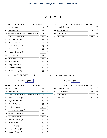### WESTPORT

|        | PRESIDENT OF THE UNITED STATES (DEMOCRATIC)     |     |            |
|--------|-------------------------------------------------|-----|------------|
| $1A$ : | <b>Bernie Sanders</b>                           | 116 | <b>DEM</b> |
| 1B:    | <b>Hillary Clinton</b>                          | 44  | <b>DEM</b> |
|        | DELEGATES TO NATIONAL CONVENTION 21st CONG DIST |     |            |
| 2A:    | Martha M. Devaney(F)                            | 81  | <b>DEM</b> |
| 3A:    | Jay V. Bellanca (M)                             | 74  | <b>DEM</b> |
| 4A:    | Maria D. Dezotell (F)                           | 79  | <b>DEM</b> |
| 5A:    | Patrick F. Nelson (M)                           | 73  | <b>DEM</b> |
| 6A:    | S. Sue Abbott-Jones (F)                         | 85  | <b>DEM</b> |
| 7A:    | Stephen Chagnon (M)                             | 72  | <b>DEM</b> |
| 2B:    | Lynne Boecher (F)                               | 39  | <b>DEM</b> |
| 3B:    | Jeremy Espinosa (M)                             | 32  | <b>DEM</b> |
| 4B:    | Julie Garcia (F)                                | 68  | <b>DEM</b> |
| 5B:    | Larry Bulman (M)                                | 26  | <b>DEM</b> |
| 6B:    | Suzanne Cohen (F)                               | 42  | <b>DEM</b> |
| 7B:    | Gregory Young (M)                               | 30  | <b>DEM</b> |

#### PRESIDENT OF THE UNITED STATES (REPUBLICAN) REP

|     | 1A: Donald J. Trump | 72  | <b>REP</b> |
|-----|---------------------|-----|------------|
|     | 2A: John R. Kasich  | 74  | <b>REP</b> |
| 3A: | Ben Carson          |     | <b>REP</b> |
| 4A: | Ted Cruz            | 36. | <b>RFP</b> |

Ballot#: **3038**

2016 WESTPORT 1 Assy Dist 114th - Cong Dist 21st

|        | PRESIDENT OF THE UNITED STATES (DEMOCRATIC)     |    |            |  |  |  |  |
|--------|-------------------------------------------------|----|------------|--|--|--|--|
| $1A$ : | <b>Bernie Sanders</b>                           | 33 | <b>DEM</b> |  |  |  |  |
| 1B:    | <b>Hillary Clinton</b>                          | 11 | <b>DEM</b> |  |  |  |  |
|        | DELEGATES TO NATIONAL CONVENTION 21st CONG DIST |    |            |  |  |  |  |
| 2A:    | Martha M. Devaney(F)                            | 16 | <b>DEM</b> |  |  |  |  |
| 3A:    | Jay V. Bellanca (M)                             | 16 | <b>DEM</b> |  |  |  |  |
| 4A:    | Maria D. Dezotell (F)                           | 16 | <b>DEM</b> |  |  |  |  |
| 5A:    | Patrick F. Nelson (M)                           | 15 | <b>DEM</b> |  |  |  |  |
| 6A:    | S. Sue Abbott-Jones (F)                         | 19 | <b>DEM</b> |  |  |  |  |
| 7A:    | Stephen Chagnon (M)                             | 14 | <b>DEM</b> |  |  |  |  |
| 2B:    | Lynne Boecher (F)                               | 11 | <b>DEM</b> |  |  |  |  |
| 3B:    | Jeremy Espinosa (M)                             | 5  | <b>DEM</b> |  |  |  |  |
| 4B:    | Julie Garcia (F)                                | 18 | <b>DEM</b> |  |  |  |  |
| 5B:    | Larry Bulman (M)                                | 5  | <b>DEM</b> |  |  |  |  |
| 6B:    | Suzanne Cohen (F)                               | 8  | <b>DEM</b> |  |  |  |  |
| 7B:    | Gregory Young (M)                               | 5  | <b>DEM</b> |  |  |  |  |

|     | PRESIDENT OF THE UNITED STATES (REPUBLICAN) |    |            |  |  |  |  |  |  |
|-----|---------------------------------------------|----|------------|--|--|--|--|--|--|
| 1A: | Donald J. Trump                             | 16 | <b>REP</b> |  |  |  |  |  |  |
| 2A: | John R. Kasich                              | 18 | <b>REP</b> |  |  |  |  |  |  |
| 3A. | <b>Ben Carson</b>                           |    | <b>REP</b> |  |  |  |  |  |  |
| 4A: | <b>Ted Cruz</b>                             |    | <b>REP</b> |  |  |  |  |  |  |
|     |                                             |    |            |  |  |  |  |  |  |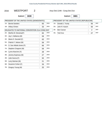#### 2016 WESTPORT 2 Assy Dist 114th - Cong Dist 21st

Ballot#: **3039**

7B: Gregory Young (M) 25 DEM

| PRESIDENT OF THE UNITED STATES (DEMOCRATIC) |                                                 |    |            |     | PRESIDENT OF THE UNITED STATES (REPUBLICAN) |                |            |
|---------------------------------------------|-------------------------------------------------|----|------------|-----|---------------------------------------------|----------------|------------|
| 1A:                                         | <b>Bernie Sanders</b>                           | 83 | <b>DEM</b> | 1A: | Donald J. Trump                             | 56             | <b>REP</b> |
| 1B:                                         | <b>Hillary Clinton</b>                          | 33 | <b>DEM</b> | 2A: | John R. Kasich                              | 56             | <b>REP</b> |
|                                             | DELEGATES TO NATIONAL CONVENTION 21st CONG DIST |    |            | 3A: | Ben Carson                                  | $\overline{2}$ | <b>REP</b> |
| 2A:                                         | Martha M. Devaney(F)                            | 65 | <b>DEM</b> | 4A: | <b>Ted Cruz</b>                             | 27             | <b>REP</b> |
| 3A.                                         | Jay V. Bellanca (M)                             | 58 | DEM        |     |                                             |                |            |
| 4A:                                         | Maria D. Dezotell (F)                           | 63 | <b>DEM</b> |     |                                             |                |            |
| 5A:                                         | Patrick F. Nelson (M)                           | 58 | <b>DEM</b> |     |                                             |                |            |
| 6A:                                         | S. Sue Abbott-Jones (F)                         | 66 | <b>DEM</b> |     |                                             |                |            |
| 7A:                                         | Stephen Chagnon (M)                             | 58 | <b>DEM</b> |     |                                             |                |            |
| 2B:                                         | Lynne Boecher (F)                               | 28 | <b>DEM</b> |     |                                             |                |            |
| 3B:                                         | Jeremy Espinosa (M)                             | 27 | <b>DEM</b> |     |                                             |                |            |
| 4B:                                         | Julie Garcia (F)                                | 50 | <b>DEM</b> |     |                                             |                |            |
| 5B:                                         | Larry Bulman (M)                                | 21 | <b>DEM</b> |     |                                             |                |            |
| 6B:                                         | Suzanne Cohen (F)                               | 34 | <b>DEM</b> |     |                                             |                |            |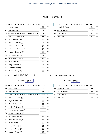### WILLSBORO

 $\overline{\phantom{a}}$ 

| 1A:<br><b>DEM</b><br><b>Bernie Sanders</b><br>99<br><b>DEM</b><br>1B:<br><b>Hillary Clinton</b><br>34<br>DELEGATES TO NATIONAL CONVENTION 21st CONG DIST<br><b>DEM</b><br>2A:<br>Martha M. Devaney(F)<br>55<br><b>DEM</b><br>3A.<br>Jay V. Bellanca (M)<br>53<br><b>DEM</b><br>4A:<br>Maria D. Dezotell (F)<br>57<br><b>DEM</b><br>5A.<br>Patrick F. Nelson (M)<br>57<br><b>DEM</b><br>6A:<br>S. Sue Abbott-Jones (F)<br>57<br><b>DEM</b><br>$7A$ :<br>Stephen Chagnon (M)<br>49<br><b>DEM</b><br>2B:<br>Lynne Boecher (F)<br>34<br><b>DEM</b><br>3B:<br>Jeremy Espinosa (M)<br>31<br><b>DEM</b><br>4B:<br>Julie Garcia (F)<br>58<br><b>DEM</b><br>5B:<br>Larry Bulman (M)<br>27<br><b>DEM</b><br>6B:<br>Suzanne Cohen (F)<br>39<br><b>DEM</b><br>7B:<br>Gregory Young (M)<br>32 | PRESIDENT OF THE UNITED STATES (DEMOCRATIC) |  |  |  |  |  |  |
|----------------------------------------------------------------------------------------------------------------------------------------------------------------------------------------------------------------------------------------------------------------------------------------------------------------------------------------------------------------------------------------------------------------------------------------------------------------------------------------------------------------------------------------------------------------------------------------------------------------------------------------------------------------------------------------------------------------------------------------------------------------------------------|---------------------------------------------|--|--|--|--|--|--|
|                                                                                                                                                                                                                                                                                                                                                                                                                                                                                                                                                                                                                                                                                                                                                                                  |                                             |  |  |  |  |  |  |
|                                                                                                                                                                                                                                                                                                                                                                                                                                                                                                                                                                                                                                                                                                                                                                                  |                                             |  |  |  |  |  |  |
|                                                                                                                                                                                                                                                                                                                                                                                                                                                                                                                                                                                                                                                                                                                                                                                  |                                             |  |  |  |  |  |  |
|                                                                                                                                                                                                                                                                                                                                                                                                                                                                                                                                                                                                                                                                                                                                                                                  |                                             |  |  |  |  |  |  |
|                                                                                                                                                                                                                                                                                                                                                                                                                                                                                                                                                                                                                                                                                                                                                                                  |                                             |  |  |  |  |  |  |
|                                                                                                                                                                                                                                                                                                                                                                                                                                                                                                                                                                                                                                                                                                                                                                                  |                                             |  |  |  |  |  |  |
|                                                                                                                                                                                                                                                                                                                                                                                                                                                                                                                                                                                                                                                                                                                                                                                  |                                             |  |  |  |  |  |  |
|                                                                                                                                                                                                                                                                                                                                                                                                                                                                                                                                                                                                                                                                                                                                                                                  |                                             |  |  |  |  |  |  |
|                                                                                                                                                                                                                                                                                                                                                                                                                                                                                                                                                                                                                                                                                                                                                                                  |                                             |  |  |  |  |  |  |
|                                                                                                                                                                                                                                                                                                                                                                                                                                                                                                                                                                                                                                                                                                                                                                                  |                                             |  |  |  |  |  |  |
|                                                                                                                                                                                                                                                                                                                                                                                                                                                                                                                                                                                                                                                                                                                                                                                  |                                             |  |  |  |  |  |  |
|                                                                                                                                                                                                                                                                                                                                                                                                                                                                                                                                                                                                                                                                                                                                                                                  |                                             |  |  |  |  |  |  |
|                                                                                                                                                                                                                                                                                                                                                                                                                                                                                                                                                                                                                                                                                                                                                                                  |                                             |  |  |  |  |  |  |
|                                                                                                                                                                                                                                                                                                                                                                                                                                                                                                                                                                                                                                                                                                                                                                                  |                                             |  |  |  |  |  |  |
|                                                                                                                                                                                                                                                                                                                                                                                                                                                                                                                                                                                                                                                                                                                                                                                  |                                             |  |  |  |  |  |  |

#### PRESIDENT OF THE UNITED STATES (REPUBLICAN) 1A: Donald J. Trump 81 REP

| 2A: | John R. Kasich | <b>RFP</b> |
|-----|----------------|------------|
| 3A. | Ben Carson     | <b>RFP</b> |
| 4A. | Ted Cruz       | <b>RFP</b> |

Ballot#: **3040**

2016 WILLSBORO 1 Assy Dist 114th - Cong Dist 21st

| PRESIDENT OF THE UNITED STATES (DEMOCRATIC) |                                                 |    |            |  |  |  |  |  |
|---------------------------------------------|-------------------------------------------------|----|------------|--|--|--|--|--|
|                                             |                                                 |    |            |  |  |  |  |  |
| $1A$ :                                      | <b>Bernie Sanders</b>                           | 59 | <b>DEM</b> |  |  |  |  |  |
| 1B:                                         | <b>Hillary Clinton</b>                          | 18 | <b>DEM</b> |  |  |  |  |  |
|                                             | DELEGATES TO NATIONAL CONVENTION 21st CONG DIST |    |            |  |  |  |  |  |
| 2A:                                         | Martha M. Devaney(F)                            | 30 | <b>DEM</b> |  |  |  |  |  |
| 3A:                                         | Jay V. Bellanca (M)                             | 33 | <b>DEM</b> |  |  |  |  |  |
| 4A:                                         | Maria D. Dezotell (F)                           | 32 | <b>DEM</b> |  |  |  |  |  |
| 5A:                                         | Patrick F. Nelson (M)                           | 33 | <b>DEM</b> |  |  |  |  |  |
| 6A:                                         | S. Sue Abbott-Jones (F)                         | 32 | <b>DEM</b> |  |  |  |  |  |
| 7A:                                         | Stephen Chagnon (M)                             | 27 | <b>DEM</b> |  |  |  |  |  |
| 2B:                                         | Lynne Boecher (F)                               | 19 | <b>DEM</b> |  |  |  |  |  |
| 3B:                                         | Jeremy Espinosa (M)                             | 18 | <b>DEM</b> |  |  |  |  |  |
| 4B:                                         | Julie Garcia (F)                                | 35 | <b>DEM</b> |  |  |  |  |  |
| 5B:                                         | Larry Bulman (M)                                | 14 | <b>DEM</b> |  |  |  |  |  |
| 6B:                                         | Suzanne Cohen (F)                               | 21 | <b>DEM</b> |  |  |  |  |  |
| 7B:                                         | Gregory Young (M)                               | 18 | <b>DEM</b> |  |  |  |  |  |

|     | PRESIDENT OF THE UNITED STATES (REPUBLICAN) |    |            |  |  |  |  |  |
|-----|---------------------------------------------|----|------------|--|--|--|--|--|
| 1A: | Donald J. Trump                             | 44 | <b>REP</b> |  |  |  |  |  |
| 2A. | John R. Kasich                              | 46 | <b>REP</b> |  |  |  |  |  |
| 3A. | <b>Ben Carson</b>                           | 3  | <b>REP</b> |  |  |  |  |  |
| 4A: | <b>Ted Cruz</b>                             | 18 | <b>REP</b> |  |  |  |  |  |
|     |                                             |    |            |  |  |  |  |  |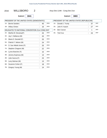п'n

#### 2016 WILLSBORO 2 Assy Dist 114th - Cong Dist 21st

Ballot#: **3041**

7B: Gregory Young (M) 14 DEM

|     | PRESIDENT OF THE UNITED STATES (DEMOCRATIC)     |    |            |     | PRESIDENT OF THE UNITED STATES (REPUBLICAN) |              |            |
|-----|-------------------------------------------------|----|------------|-----|---------------------------------------------|--------------|------------|
| 1A: | <b>Bernie Sanders</b>                           | 40 | DEM        | 1A: | Donald J. Trump                             | 37           | <b>REP</b> |
| 1B: | <b>Hillary Clinton</b>                          | 16 | DEM        | 2A: | John R. Kasich                              | 27           | <b>REP</b> |
|     | DELEGATES TO NATIONAL CONVENTION 21st CONG DIST |    |            | 3A: | <b>Ben Carson</b>                           | $\mathbf{1}$ | <b>REP</b> |
| 2A: | Martha M. Devaney(F)                            | 25 | DEM        | 4A: | <b>Ted Cruz</b>                             | 23           | <b>REP</b> |
| 3A: | Jay V. Bellanca (M)                             | 20 | <b>DEM</b> |     |                                             |              |            |
| 4A: | Maria D. Dezotell (F)                           | 25 | DEM        |     |                                             |              |            |
| 5A: | Patrick F. Nelson (M)                           | 24 | <b>DEM</b> |     |                                             |              |            |
| 6A: | S. Sue Abbott-Jones (F)                         | 25 | <b>DEM</b> |     |                                             |              |            |
| 7A: | Stephen Chagnon (M)                             | 22 | <b>DEM</b> |     |                                             |              |            |
| 2B: | Lynne Boecher (F)                               | 15 | <b>DEM</b> |     |                                             |              |            |
| 3B: | Jeremy Espinosa (M)                             | 13 | DEM        |     |                                             |              |            |
| 4B: | Julie Garcia (F)                                | 23 | <b>DEM</b> |     |                                             |              |            |
| 5B: | Larry Bulman (M)                                | 13 | DEM        |     |                                             |              |            |
| 6B: | Suzanne Cohen (F)                               | 18 | <b>DEM</b> |     |                                             |              |            |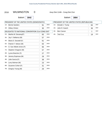#### 2016 WILMINGTON 0 Assy Dist 114th - Cong Dist 21st

Ballot#: **3042**

Ballot#: **3084**

|     | PRESIDENT OF THE UNITED STATES (DEMOCRATIC)     |    |            |     | PRESIDENT OF THE UNITED STATES (REPUBLICAN) |    |            |
|-----|-------------------------------------------------|----|------------|-----|---------------------------------------------|----|------------|
| 1A: | <b>Bernie Sanders</b>                           | 91 | <b>DEM</b> | 1A: | Donald J. Trump                             | 84 | <b>REF</b> |
| 1B: | <b>Hillary Clinton</b>                          | 30 | <b>DEM</b> | 2A: | John R. Kasich                              | 36 | <b>REF</b> |
|     | DELEGATES TO NATIONAL CONVENTION 21st CONG DIST |    |            | 3A: | <b>Ben Carson</b>                           | 1  | <b>REF</b> |
| 2A: | Martha M. Devaney(F)                            | 65 | <b>DEM</b> | 4A: | <b>Ted Cruz</b>                             | 19 | <b>REF</b> |
| 3A: | Jay V. Bellanca (M)                             | 57 | <b>DEM</b> |     |                                             |    |            |
| 4A: | Maria D. Dezotell (F)                           | 61 | <b>DEM</b> |     |                                             |    |            |
| 5A: | Patrick F. Nelson (M)                           | 63 | <b>DEM</b> |     |                                             |    |            |
| 6A: | S. Sue Abbott-Jones (F)                         | 66 | <b>DEM</b> |     |                                             |    |            |
| 7A: | Stephen Chagnon (M)                             | 57 | <b>DEM</b> |     |                                             |    |            |
| 2B: | Lynne Boecher (F)                               | 27 | <b>DEM</b> |     |                                             |    |            |
| 3B: | Jeremy Espinosa (M)                             | 29 | <b>DEM</b> |     |                                             |    |            |
| 4B: | Julie Garcia (F)                                | 38 | <b>DEM</b> |     |                                             |    |            |
| 5B: | Larry Bulman (M)                                | 23 | <b>DEM</b> |     |                                             |    |            |
| 6B: | Suzanne Cohen (F)                               | 31 | <b>DEM</b> |     |                                             |    |            |
| 7B: | Gregory Young (M)                               | 29 | <b>DEM</b> |     |                                             |    |            |

**ED STATES (REPUBLICAN)** 1A: Donald J. Trump 84 2A: John R. Kasich 36 REP REP 3A: Ben Carson 1 REP